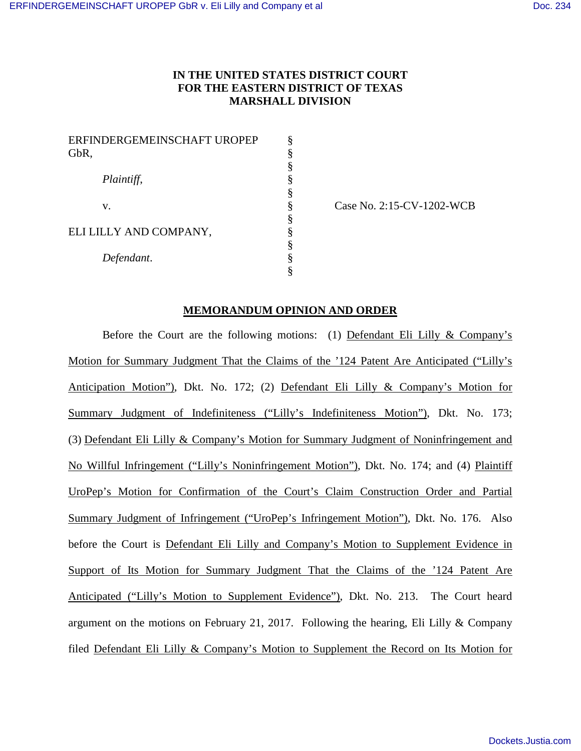# **IN THE UNITED STATES DISTRICT COURT FOR THE EASTERN DISTRICT OF TEXAS MARSHALL DIVISION**

| ERFINDERGEMEINSCHAFT UROPEP |  |
|-----------------------------|--|
| GbR,                        |  |
|                             |  |
| Plaintiff,                  |  |
|                             |  |
| V.                          |  |
|                             |  |
| ELI LILLY AND COMPANY,      |  |
|                             |  |
| Defendant.                  |  |
|                             |  |

Case No. 2:15-CV-1202-WCB

### **MEMORANDUM OPINION AND ORDER**

Before the Court are the following motions: (1) Defendant Eli Lilly & Company's Motion for Summary Judgment That the Claims of the '124 Patent Are Anticipated ("Lilly's Anticipation Motion"), Dkt. No. 172; (2) Defendant Eli Lilly & Company's Motion for Summary Judgment of Indefiniteness ("Lilly's Indefiniteness Motion"), Dkt. No. 173; (3) Defendant Eli Lilly & Company's Motion for Summary Judgment of Noninfringement and No Willful Infringement ("Lilly's Noninfringement Motion"), Dkt. No. 174; and (4) Plaintiff UroPep's Motion for Confirmation of the Court's Claim Construction Order and Partial Summary Judgment of Infringement ("UroPep's Infringement Motion"), Dkt. No. 176. Also before the Court is Defendant Eli Lilly and Company's Motion to Supplement Evidence in Support of Its Motion for Summary Judgment That the Claims of the '124 Patent Are Anticipated ("Lilly's Motion to Supplement Evidence"), Dkt. No. 213. The Court heard argument on the motions on February 21, 2017. Following the hearing, Eli Lilly & Company filed Defendant Eli Lilly & Company's Motion to Supplement the Record on Its Motion for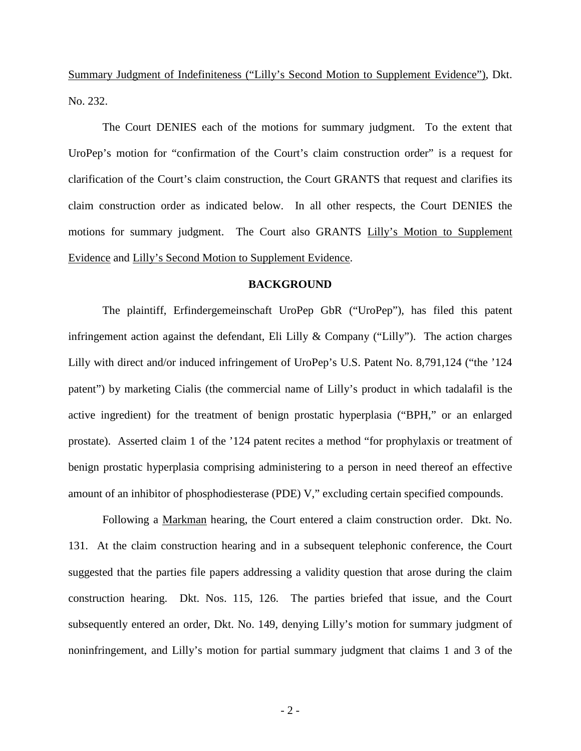Summary Judgment of Indefiniteness ("Lilly's Second Motion to Supplement Evidence"), Dkt. No. 232.

The Court DENIES each of the motions for summary judgment. To the extent that UroPep's motion for "confirmation of the Court's claim construction order" is a request for clarification of the Court's claim construction, the Court GRANTS that request and clarifies its claim construction order as indicated below. In all other respects, the Court DENIES the motions for summary judgment. The Court also GRANTS Lilly's Motion to Supplement Evidence and Lilly's Second Motion to Supplement Evidence.

#### **BACKGROUND**

The plaintiff, Erfindergemeinschaft UroPep GbR ("UroPep"), has filed this patent infringement action against the defendant, Eli Lilly & Company ("Lilly"). The action charges Lilly with direct and/or induced infringement of UroPep's U.S. Patent No. 8,791,124 ("the '124 patent") by marketing Cialis (the commercial name of Lilly's product in which tadalafil is the active ingredient) for the treatment of benign prostatic hyperplasia ("BPH," or an enlarged prostate). Asserted claim 1 of the '124 patent recites a method "for prophylaxis or treatment of benign prostatic hyperplasia comprising administering to a person in need thereof an effective amount of an inhibitor of phosphodiesterase (PDE) V," excluding certain specified compounds.

Following a Markman hearing, the Court entered a claim construction order. Dkt. No. 131. At the claim construction hearing and in a subsequent telephonic conference, the Court suggested that the parties file papers addressing a validity question that arose during the claim construction hearing. Dkt. Nos. 115, 126. The parties briefed that issue, and the Court subsequently entered an order, Dkt. No. 149, denying Lilly's motion for summary judgment of noninfringement, and Lilly's motion for partial summary judgment that claims 1 and 3 of the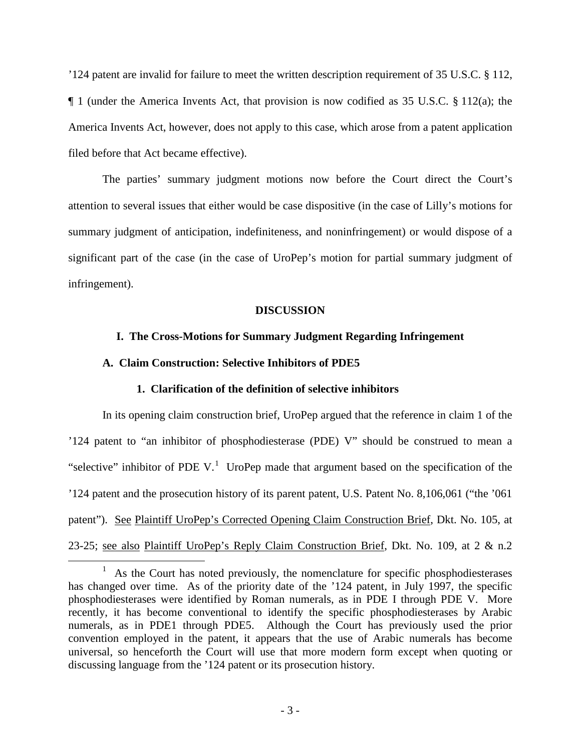'124 patent are invalid for failure to meet the written description requirement of 35 U.S.C. § 112, ¶ 1 (under the America Invents Act, that provision is now codified as 35 U.S.C. § 112(a); the America Invents Act, however, does not apply to this case, which arose from a patent application filed before that Act became effective).

The parties' summary judgment motions now before the Court direct the Court's attention to several issues that either would be case dispositive (in the case of Lilly's motions for summary judgment of anticipation, indefiniteness, and noninfringement) or would dispose of a significant part of the case (in the case of UroPep's motion for partial summary judgment of infringement).

# **DISCUSSION**

# **I. The Cross-Motions for Summary Judgment Regarding Infringement**

## **A. Claim Construction: Selective Inhibitors of PDE5**

 $\overline{a}$ 

## **1. Clarification of the definition of selective inhibitors**

In its opening claim construction brief, UroPep argued that the reference in claim 1 of the '124 patent to "an inhibitor of phosphodiesterase (PDE) V" should be construed to mean a "selective" inhibitor of PDE V.<sup>[1](#page-2-0)</sup> UroPep made that argument based on the specification of the '124 patent and the prosecution history of its parent patent, U.S. Patent No. 8,106,061 ("the '061 patent"). See Plaintiff UroPep's Corrected Opening Claim Construction Brief, Dkt. No. 105, at 23-25; see also Plaintiff UroPep's Reply Claim Construction Brief, Dkt. No. 109, at 2 & n.2

<span id="page-2-0"></span><sup>1</sup> As the Court has noted previously, the nomenclature for specific phosphodiesterases has changed over time. As of the priority date of the '124 patent, in July 1997, the specific phosphodiesterases were identified by Roman numerals, as in PDE I through PDE V. More recently, it has become conventional to identify the specific phosphodiesterases by Arabic numerals, as in PDE1 through PDE5. Although the Court has previously used the prior convention employed in the patent, it appears that the use of Arabic numerals has become universal, so henceforth the Court will use that more modern form except when quoting or discussing language from the '124 patent or its prosecution history.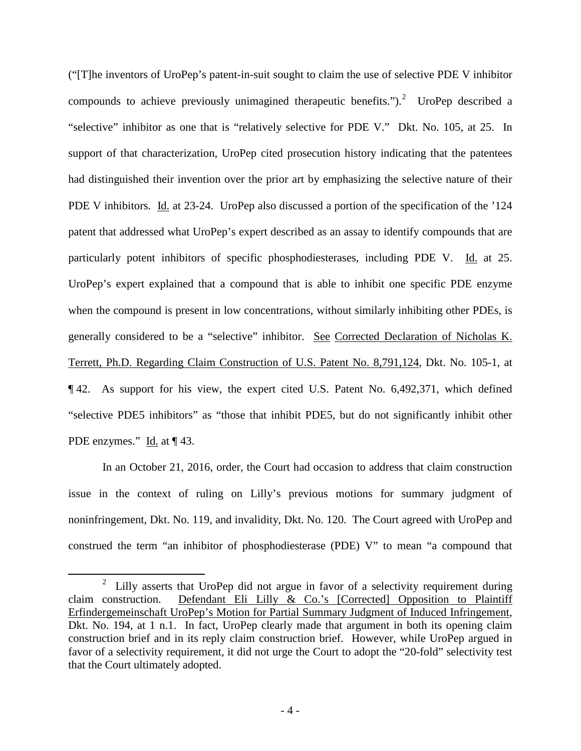("[T]he inventors of UroPep's patent-in-suit sought to claim the use of selective PDE V inhibitor compounds to achieve previously unimagined therapeutic benefits.").<sup>[2](#page-3-0)</sup> UroPep described a "selective" inhibitor as one that is "relatively selective for PDE V." Dkt. No. 105, at 25. In support of that characterization, UroPep cited prosecution history indicating that the patentees had distinguished their invention over the prior art by emphasizing the selective nature of their PDE V inhibitors. Id. at 23-24. UroPep also discussed a portion of the specification of the '124 patent that addressed what UroPep's expert described as an assay to identify compounds that are particularly potent inhibitors of specific phosphodiesterases, including PDE V. Id. at 25. UroPep's expert explained that a compound that is able to inhibit one specific PDE enzyme when the compound is present in low concentrations, without similarly inhibiting other PDEs, is generally considered to be a "selective" inhibitor. See Corrected Declaration of Nicholas K. Terrett, Ph.D. Regarding Claim Construction of U.S. Patent No. 8,791,124, Dkt. No. 105-1, at ¶ 42. As support for his view, the expert cited U.S. Patent No. 6,492,371, which defined "selective PDE5 inhibitors" as "those that inhibit PDE5, but do not significantly inhibit other PDE enzymes." Id. at  $\P$  43.

In an October 21, 2016, order, the Court had occasion to address that claim construction issue in the context of ruling on Lilly's previous motions for summary judgment of noninfringement, Dkt. No. 119, and invalidity, Dkt. No. 120. The Court agreed with UroPep and construed the term "an inhibitor of phosphodiesterase (PDE) V" to mean "a compound that

 $\overline{a}$ 

<span id="page-3-0"></span><sup>2</sup> Lilly asserts that UroPep did not argue in favor of a selectivity requirement during claim construction. Defendant Eli Lilly & Co.'s [Corrected] Opposition to Plaintiff Erfindergemeinschaft UroPep's Motion for Partial Summary Judgment of Induced Infringement, Dkt. No. 194, at 1 n.1. In fact, UroPep clearly made that argument in both its opening claim construction brief and in its reply claim construction brief. However, while UroPep argued in favor of a selectivity requirement, it did not urge the Court to adopt the "20-fold" selectivity test that the Court ultimately adopted.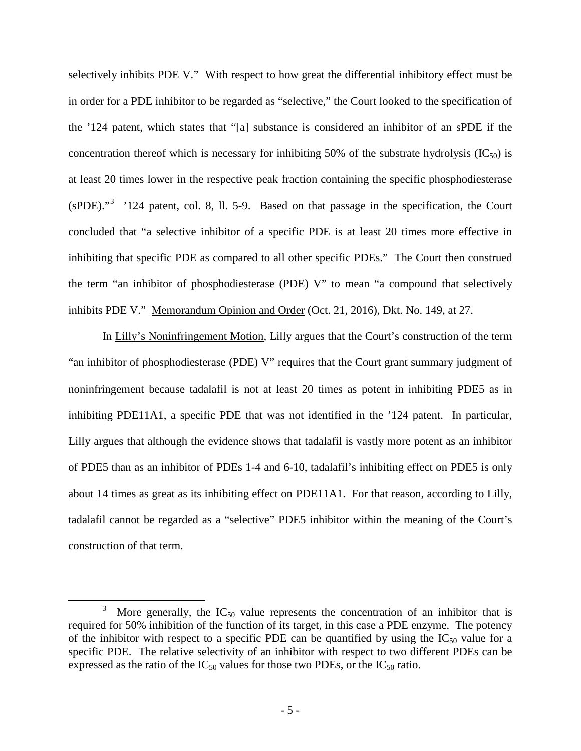selectively inhibits PDE V." With respect to how great the differential inhibitory effect must be in order for a PDE inhibitor to be regarded as "selective," the Court looked to the specification of the '124 patent, which states that "[a] substance is considered an inhibitor of an sPDE if the concentration thereof which is necessary for inhibiting 50% of the substrate hydrolysis  $(IC_{50})$  is at least 20 times lower in the respective peak fraction containing the specific phosphodiesterase  $(sPDE)$ ."<sup>[3](#page-4-0)</sup> '124 patent, col. 8, ll. 5-9. Based on that passage in the specification, the Court concluded that "a selective inhibitor of a specific PDE is at least 20 times more effective in inhibiting that specific PDE as compared to all other specific PDEs." The Court then construed the term "an inhibitor of phosphodiesterase (PDE) V" to mean "a compound that selectively inhibits PDE V." Memorandum Opinion and Order (Oct. 21, 2016), Dkt. No. 149, at 27.

In Lilly's Noninfringement Motion, Lilly argues that the Court's construction of the term "an inhibitor of phosphodiesterase (PDE) V" requires that the Court grant summary judgment of noninfringement because tadalafil is not at least 20 times as potent in inhibiting PDE5 as in inhibiting PDE11A1, a specific PDE that was not identified in the '124 patent. In particular, Lilly argues that although the evidence shows that tadalafil is vastly more potent as an inhibitor of PDE5 than as an inhibitor of PDEs 1-4 and 6-10, tadalafil's inhibiting effect on PDE5 is only about 14 times as great as its inhibiting effect on PDE11A1. For that reason, according to Lilly, tadalafil cannot be regarded as a "selective" PDE5 inhibitor within the meaning of the Court's construction of that term.

 $\overline{a}$ 

<span id="page-4-0"></span><sup>3</sup> More generally, the  $IC_{50}$  value represents the concentration of an inhibitor that is required for 50% inhibition of the function of its target, in this case a PDE enzyme. The potency of the inhibitor with respect to a specific PDE can be quantified by using the  $IC_{50}$  value for a specific PDE. The relative selectivity of an inhibitor with respect to two different PDEs can be expressed as the ratio of the  $IC_{50}$  values for those two PDEs, or the  $IC_{50}$  ratio.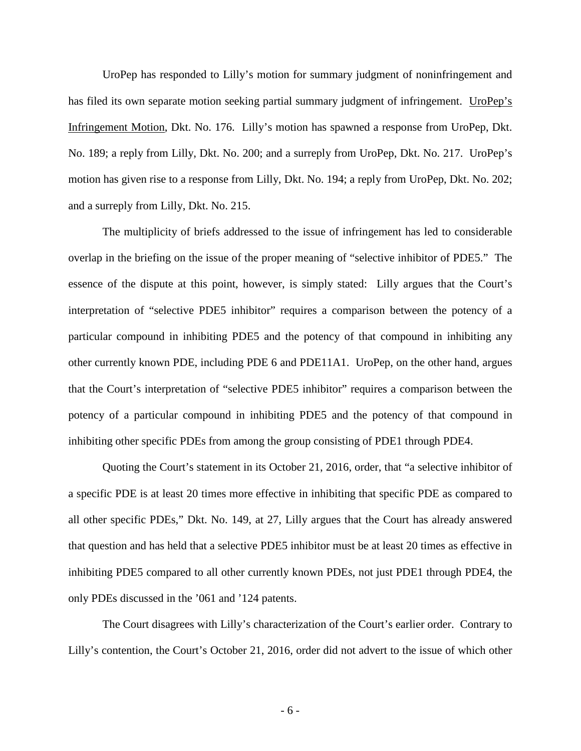UroPep has responded to Lilly's motion for summary judgment of noninfringement and has filed its own separate motion seeking partial summary judgment of infringement. UroPep's Infringement Motion, Dkt. No. 176. Lilly's motion has spawned a response from UroPep, Dkt. No. 189; a reply from Lilly, Dkt. No. 200; and a surreply from UroPep, Dkt. No. 217. UroPep's motion has given rise to a response from Lilly, Dkt. No. 194; a reply from UroPep, Dkt. No. 202; and a surreply from Lilly, Dkt. No. 215.

The multiplicity of briefs addressed to the issue of infringement has led to considerable overlap in the briefing on the issue of the proper meaning of "selective inhibitor of PDE5." The essence of the dispute at this point, however, is simply stated: Lilly argues that the Court's interpretation of "selective PDE5 inhibitor" requires a comparison between the potency of a particular compound in inhibiting PDE5 and the potency of that compound in inhibiting any other currently known PDE, including PDE 6 and PDE11A1. UroPep, on the other hand, argues that the Court's interpretation of "selective PDE5 inhibitor" requires a comparison between the potency of a particular compound in inhibiting PDE5 and the potency of that compound in inhibiting other specific PDEs from among the group consisting of PDE1 through PDE4.

Quoting the Court's statement in its October 21, 2016, order, that "a selective inhibitor of a specific PDE is at least 20 times more effective in inhibiting that specific PDE as compared to all other specific PDEs," Dkt. No. 149, at 27, Lilly argues that the Court has already answered that question and has held that a selective PDE5 inhibitor must be at least 20 times as effective in inhibiting PDE5 compared to all other currently known PDEs, not just PDE1 through PDE4, the only PDEs discussed in the '061 and '124 patents.

The Court disagrees with Lilly's characterization of the Court's earlier order. Contrary to Lilly's contention, the Court's October 21, 2016, order did not advert to the issue of which other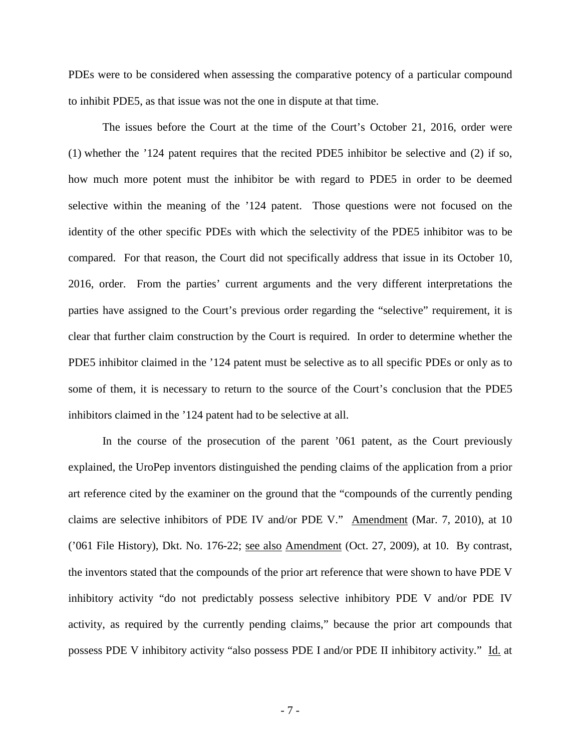PDEs were to be considered when assessing the comparative potency of a particular compound to inhibit PDE5, as that issue was not the one in dispute at that time.

The issues before the Court at the time of the Court's October 21, 2016, order were (1) whether the '124 patent requires that the recited PDE5 inhibitor be selective and (2) if so, how much more potent must the inhibitor be with regard to PDE5 in order to be deemed selective within the meaning of the '124 patent. Those questions were not focused on the identity of the other specific PDEs with which the selectivity of the PDE5 inhibitor was to be compared. For that reason, the Court did not specifically address that issue in its October 10, 2016, order. From the parties' current arguments and the very different interpretations the parties have assigned to the Court's previous order regarding the "selective" requirement, it is clear that further claim construction by the Court is required. In order to determine whether the PDE5 inhibitor claimed in the '124 patent must be selective as to all specific PDEs or only as to some of them, it is necessary to return to the source of the Court's conclusion that the PDE5 inhibitors claimed in the '124 patent had to be selective at all.

In the course of the prosecution of the parent '061 patent, as the Court previously explained, the UroPep inventors distinguished the pending claims of the application from a prior art reference cited by the examiner on the ground that the "compounds of the currently pending claims are selective inhibitors of PDE IV and/or PDE V." Amendment (Mar. 7, 2010), at 10 ('061 File History), Dkt. No. 176-22; see also Amendment (Oct. 27, 2009), at 10. By contrast, the inventors stated that the compounds of the prior art reference that were shown to have PDE V inhibitory activity "do not predictably possess selective inhibitory PDE V and/or PDE IV activity, as required by the currently pending claims," because the prior art compounds that possess PDE V inhibitory activity "also possess PDE I and/or PDE II inhibitory activity." Id. at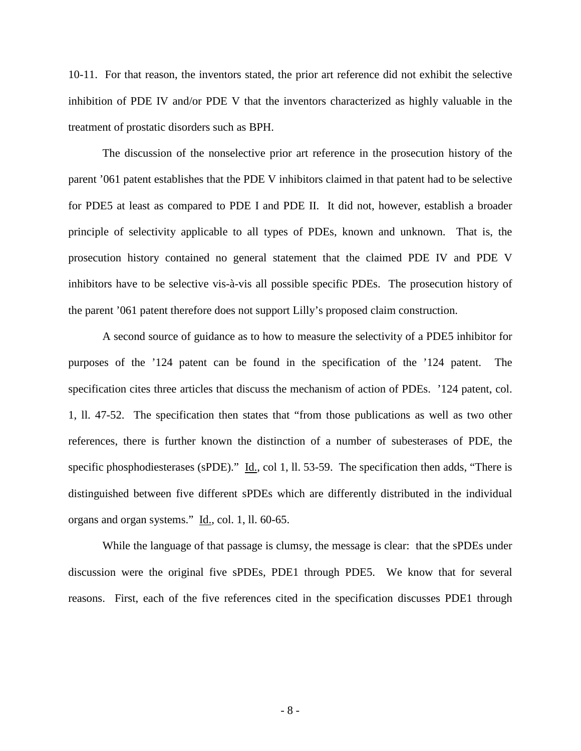10-11. For that reason, the inventors stated, the prior art reference did not exhibit the selective inhibition of PDE IV and/or PDE V that the inventors characterized as highly valuable in the treatment of prostatic disorders such as BPH.

The discussion of the nonselective prior art reference in the prosecution history of the parent '061 patent establishes that the PDE V inhibitors claimed in that patent had to be selective for PDE5 at least as compared to PDE I and PDE II. It did not, however, establish a broader principle of selectivity applicable to all types of PDEs, known and unknown. That is, the prosecution history contained no general statement that the claimed PDE IV and PDE V inhibitors have to be selective vis-à-vis all possible specific PDEs. The prosecution history of the parent '061 patent therefore does not support Lilly's proposed claim construction.

A second source of guidance as to how to measure the selectivity of a PDE5 inhibitor for purposes of the '124 patent can be found in the specification of the '124 patent. The specification cites three articles that discuss the mechanism of action of PDEs. '124 patent, col. 1, ll. 47-52. The specification then states that "from those publications as well as two other references, there is further known the distinction of a number of subesterases of PDE, the specific phosphodiesterases (sPDE)." Id., col 1, ll. 53-59. The specification then adds, "There is distinguished between five different sPDEs which are differently distributed in the individual organs and organ systems." Id., col. 1, ll. 60-65.

While the language of that passage is clumsy, the message is clear: that the sPDEs under discussion were the original five sPDEs, PDE1 through PDE5. We know that for several reasons. First, each of the five references cited in the specification discusses PDE1 through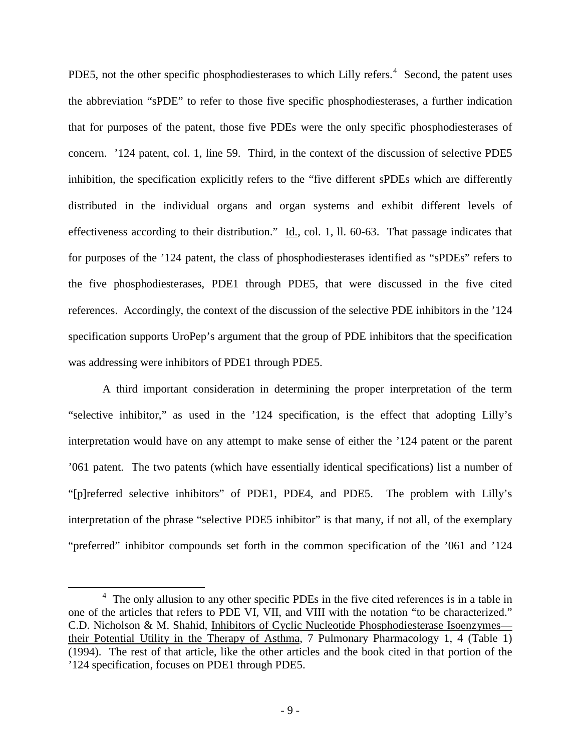PDE5, not the other specific phosphodiesterases to which Lilly refers. $4$  Second, the patent uses the abbreviation "sPDE" to refer to those five specific phosphodiesterases, a further indication that for purposes of the patent, those five PDEs were the only specific phosphodiesterases of concern. '124 patent, col. 1, line 59. Third, in the context of the discussion of selective PDE5 inhibition, the specification explicitly refers to the "five different sPDEs which are differently distributed in the individual organs and organ systems and exhibit different levels of effectiveness according to their distribution." Id., col. 1, ll. 60-63. That passage indicates that for purposes of the '124 patent, the class of phosphodiesterases identified as "sPDEs" refers to the five phosphodiesterases, PDE1 through PDE5, that were discussed in the five cited references. Accordingly, the context of the discussion of the selective PDE inhibitors in the '124 specification supports UroPep's argument that the group of PDE inhibitors that the specification was addressing were inhibitors of PDE1 through PDE5.

A third important consideration in determining the proper interpretation of the term "selective inhibitor," as used in the '124 specification, is the effect that adopting Lilly's interpretation would have on any attempt to make sense of either the '124 patent or the parent '061 patent. The two patents (which have essentially identical specifications) list a number of "[p]referred selective inhibitors" of PDE1, PDE4, and PDE5. The problem with Lilly's interpretation of the phrase "selective PDE5 inhibitor" is that many, if not all, of the exemplary "preferred" inhibitor compounds set forth in the common specification of the '061 and '124

 $\overline{a}$ 

<span id="page-8-0"></span><sup>&</sup>lt;sup>4</sup> The only allusion to any other specific PDEs in the five cited references is in a table in one of the articles that refers to PDE VI, VII, and VIII with the notation "to be characterized." C.D. Nicholson & M. Shahid, Inhibitors of Cyclic Nucleotide Phosphodiesterase Isoenzymes their Potential Utility in the Therapy of Asthma, 7 Pulmonary Pharmacology 1, 4 (Table 1) (1994). The rest of that article, like the other articles and the book cited in that portion of the '124 specification, focuses on PDE1 through PDE5.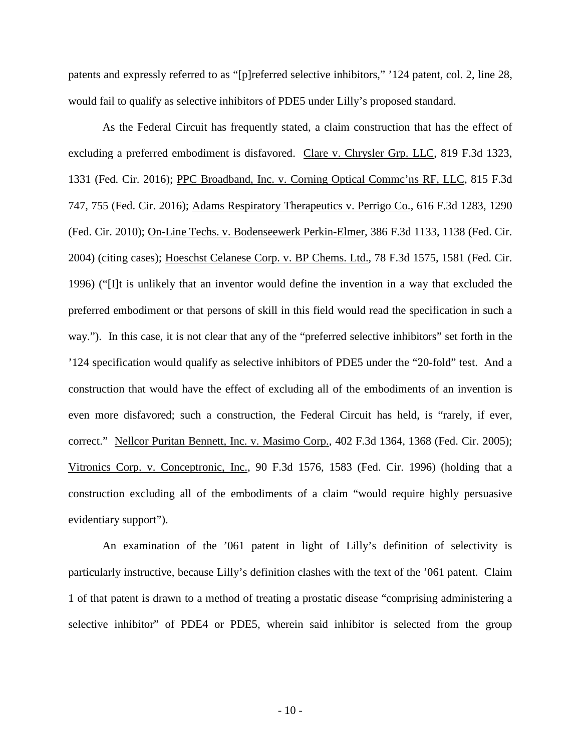patents and expressly referred to as "[p]referred selective inhibitors," '124 patent, col. 2, line 28, would fail to qualify as selective inhibitors of PDE5 under Lilly's proposed standard.

As the Federal Circuit has frequently stated, a claim construction that has the effect of excluding a preferred embodiment is disfavored. Clare v. Chrysler Grp. LLC, 819 F.3d 1323, 1331 (Fed. Cir. 2016); PPC Broadband, Inc. v. Corning Optical Commc'ns RF, LLC, 815 F.3d 747, 755 (Fed. Cir. 2016); Adams Respiratory Therapeutics v. Perrigo Co., 616 F.3d 1283, 1290 (Fed. Cir. 2010); On-Line Techs. v. Bodenseewerk Perkin-Elmer, 386 F.3d 1133, 1138 (Fed. Cir. 2004) (citing cases); Hoeschst Celanese Corp. v. BP Chems. Ltd., 78 F.3d 1575, 1581 (Fed. Cir. 1996) ("[I]t is unlikely that an inventor would define the invention in a way that excluded the preferred embodiment or that persons of skill in this field would read the specification in such a way."). In this case, it is not clear that any of the "preferred selective inhibitors" set forth in the '124 specification would qualify as selective inhibitors of PDE5 under the "20-fold" test. And a construction that would have the effect of excluding all of the embodiments of an invention is even more disfavored; such a construction, the Federal Circuit has held, is "rarely, if ever, correct." Nellcor Puritan Bennett, Inc. v. Masimo Corp., 402 F.3d 1364, 1368 (Fed. Cir. 2005); Vitronics Corp. v. Conceptronic, Inc., 90 F.3d 1576, 1583 (Fed. Cir. 1996) (holding that a construction excluding all of the embodiments of a claim "would require highly persuasive evidentiary support").

An examination of the '061 patent in light of Lilly's definition of selectivity is particularly instructive, because Lilly's definition clashes with the text of the '061 patent. Claim 1 of that patent is drawn to a method of treating a prostatic disease "comprising administering a selective inhibitor" of PDE4 or PDE5, wherein said inhibitor is selected from the group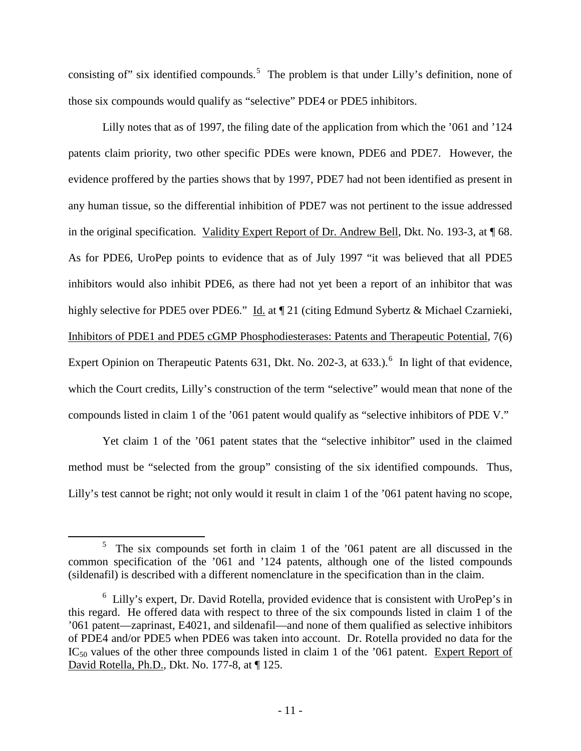consisting of" six identified compounds.<sup>[5](#page-10-0)</sup> The problem is that under Lilly's definition, none of those six compounds would qualify as "selective" PDE4 or PDE5 inhibitors.

 Lilly notes that as of 1997, the filing date of the application from which the '061 and '124 patents claim priority, two other specific PDEs were known, PDE6 and PDE7. However, the evidence proffered by the parties shows that by 1997, PDE7 had not been identified as present in any human tissue, so the differential inhibition of PDE7 was not pertinent to the issue addressed in the original specification. Validity Expert Report of Dr. Andrew Bell, Dkt. No. 193-3, at ¶ 68. As for PDE6, UroPep points to evidence that as of July 1997 "it was believed that all PDE5 inhibitors would also inhibit PDE6, as there had not yet been a report of an inhibitor that was highly selective for PDE5 over PDE6." Id. at ¶ 21 (citing Edmund Sybertz & Michael Czarnieki, Inhibitors of PDE1 and PDE5 cGMP Phosphodiesterases: Patents and Therapeutic Potential, 7(6) Expert Opinion on Therapeutic Patents [6](#page-10-1)31, Dkt. No. 202-3, at 633.).<sup>6</sup> In light of that evidence, which the Court credits, Lilly's construction of the term "selective" would mean that none of the compounds listed in claim 1 of the '061 patent would qualify as "selective inhibitors of PDE V."

Yet claim 1 of the '061 patent states that the "selective inhibitor" used in the claimed method must be "selected from the group" consisting of the six identified compounds. Thus, Lilly's test cannot be right; not only would it result in claim 1 of the '061 patent having no scope,

<u>.</u>

<span id="page-10-0"></span><sup>5</sup> The six compounds set forth in claim 1 of the '061 patent are all discussed in the common specification of the '061 and '124 patents, although one of the listed compounds (sildenafil) is described with a different nomenclature in the specification than in the claim.

<span id="page-10-1"></span><sup>&</sup>lt;sup>6</sup> Lilly's expert, Dr. David Rotella, provided evidence that is consistent with UroPep's in this regard. He offered data with respect to three of the six compounds listed in claim 1 of the '061 patent—zaprinast, E4021, and sildenafil—and none of them qualified as selective inhibitors of PDE4 and/or PDE5 when PDE6 was taken into account. Dr. Rotella provided no data for the IC<sub>50</sub> values of the other three compounds listed in claim 1 of the '061 patent. Expert Report of David Rotella, Ph.D., Dkt. No. 177-8, at ¶ 125.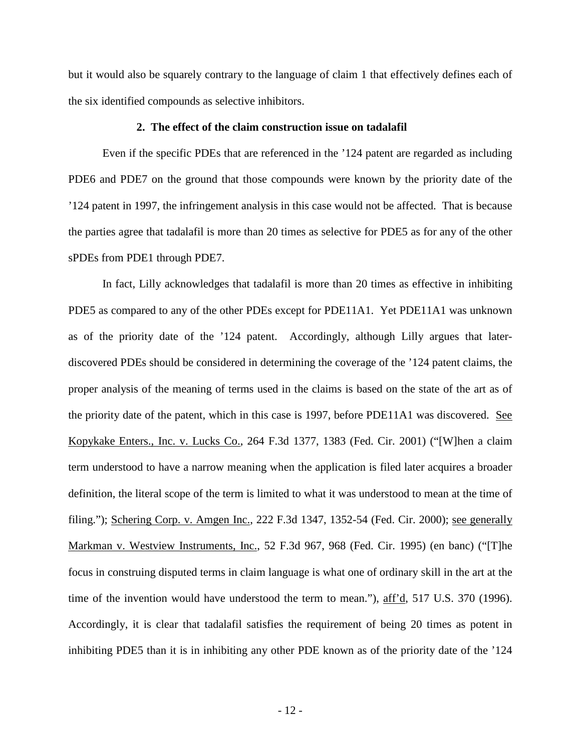but it would also be squarely contrary to the language of claim 1 that effectively defines each of the six identified compounds as selective inhibitors.

#### **2. The effect of the claim construction issue on tadalafil**

Even if the specific PDEs that are referenced in the '124 patent are regarded as including PDE6 and PDE7 on the ground that those compounds were known by the priority date of the '124 patent in 1997, the infringement analysis in this case would not be affected. That is because the parties agree that tadalafil is more than 20 times as selective for PDE5 as for any of the other sPDEs from PDE1 through PDE7.

In fact, Lilly acknowledges that tadalafil is more than 20 times as effective in inhibiting PDE5 as compared to any of the other PDEs except for PDE11A1. Yet PDE11A1 was unknown as of the priority date of the '124 patent. Accordingly, although Lilly argues that laterdiscovered PDEs should be considered in determining the coverage of the '124 patent claims, the proper analysis of the meaning of terms used in the claims is based on the state of the art as of the priority date of the patent, which in this case is 1997, before PDE11A1 was discovered. See Kopykake Enters., Inc. v. Lucks Co., 264 F.3d 1377, 1383 (Fed. Cir. 2001) ("[W]hen a claim term understood to have a narrow meaning when the application is filed later acquires a broader definition, the literal scope of the term is limited to what it was understood to mean at the time of filing."); Schering Corp. v. Amgen Inc., 222 F.3d 1347, 1352-54 (Fed. Cir. 2000); <u>see generally</u> Markman v. Westview Instruments, Inc., 52 F.3d 967, 968 (Fed. Cir. 1995) (en banc) ("[T]he focus in construing disputed terms in claim language is what one of ordinary skill in the art at the time of the invention would have understood the term to mean."), aff'd, 517 U.S. 370 (1996). Accordingly, it is clear that tadalafil satisfies the requirement of being 20 times as potent in inhibiting PDE5 than it is in inhibiting any other PDE known as of the priority date of the '124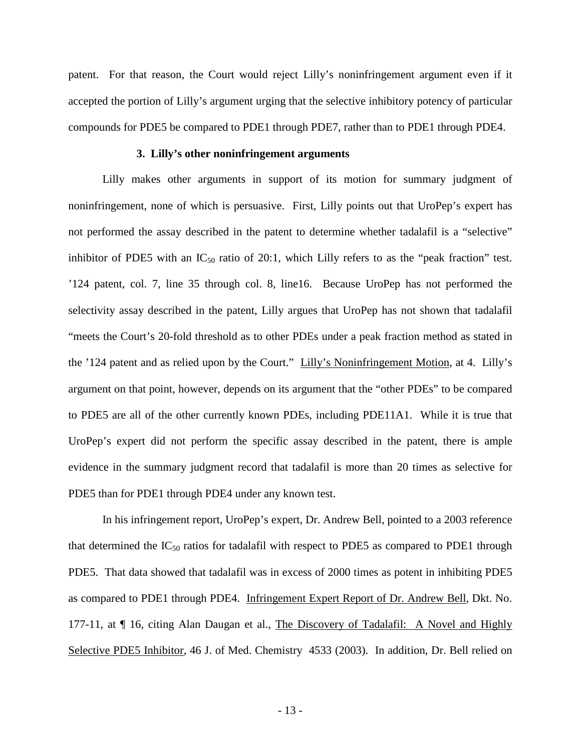patent. For that reason, the Court would reject Lilly's noninfringement argument even if it accepted the portion of Lilly's argument urging that the selective inhibitory potency of particular compounds for PDE5 be compared to PDE1 through PDE7, rather than to PDE1 through PDE4.

### **3. Lilly's other noninfringement arguments**

Lilly makes other arguments in support of its motion for summary judgment of noninfringement, none of which is persuasive. First, Lilly points out that UroPep's expert has not performed the assay described in the patent to determine whether tadalafil is a "selective" inhibitor of PDE5 with an  $IC_{50}$  ratio of 20:1, which Lilly refers to as the "peak fraction" test. '124 patent, col. 7, line 35 through col. 8, line16. Because UroPep has not performed the selectivity assay described in the patent, Lilly argues that UroPep has not shown that tadalafil "meets the Court's 20-fold threshold as to other PDEs under a peak fraction method as stated in the '124 patent and as relied upon by the Court." Lilly's Noninfringement Motion, at 4. Lilly's argument on that point, however, depends on its argument that the "other PDEs" to be compared to PDE5 are all of the other currently known PDEs, including PDE11A1. While it is true that UroPep's expert did not perform the specific assay described in the patent, there is ample evidence in the summary judgment record that tadalafil is more than 20 times as selective for PDE5 than for PDE1 through PDE4 under any known test.

In his infringement report, UroPep's expert, Dr. Andrew Bell, pointed to a 2003 reference that determined the  $IC_{50}$  ratios for tadalafil with respect to PDE5 as compared to PDE1 through PDE5. That data showed that tadalafil was in excess of 2000 times as potent in inhibiting PDE5 as compared to PDE1 through PDE4. Infringement Expert Report of Dr. Andrew Bell, Dkt. No. 177-11, at  $\P$  16, citing Alan Daugan et al., The Discovery of Tadalafil: A Novel and Highly Selective PDE5 Inhibitor, 46 J. of Med. Chemistry 4533 (2003). In addition, Dr. Bell relied on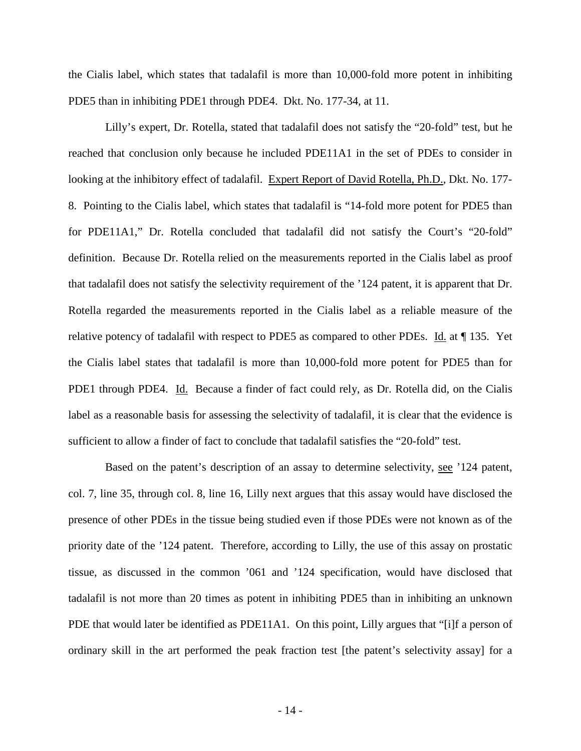the Cialis label, which states that tadalafil is more than 10,000-fold more potent in inhibiting PDE5 than in inhibiting PDE1 through PDE4. Dkt. No. 177-34, at 11.

Lilly's expert, Dr. Rotella, stated that tadalafil does not satisfy the "20-fold" test, but he reached that conclusion only because he included PDE11A1 in the set of PDEs to consider in looking at the inhibitory effect of tadalafil. Expert Report of David Rotella, Ph.D., Dkt. No. 177- 8. Pointing to the Cialis label, which states that tadalafil is "14-fold more potent for PDE5 than for PDE11A1," Dr. Rotella concluded that tadalafil did not satisfy the Court's "20-fold" definition. Because Dr. Rotella relied on the measurements reported in the Cialis label as proof that tadalafil does not satisfy the selectivity requirement of the '124 patent, it is apparent that Dr. Rotella regarded the measurements reported in the Cialis label as a reliable measure of the relative potency of tadalafil with respect to PDE5 as compared to other PDEs. Id. at ¶ 135. Yet the Cialis label states that tadalafil is more than 10,000-fold more potent for PDE5 than for PDE1 through PDE4. Id. Because a finder of fact could rely, as Dr. Rotella did, on the Cialis label as a reasonable basis for assessing the selectivity of tadalafil, it is clear that the evidence is sufficient to allow a finder of fact to conclude that tadalafil satisfies the "20-fold" test.

Based on the patent's description of an assay to determine selectivity, see '124 patent, col. 7, line 35, through col. 8, line 16, Lilly next argues that this assay would have disclosed the presence of other PDEs in the tissue being studied even if those PDEs were not known as of the priority date of the '124 patent. Therefore, according to Lilly, the use of this assay on prostatic tissue, as discussed in the common '061 and '124 specification, would have disclosed that tadalafil is not more than 20 times as potent in inhibiting PDE5 than in inhibiting an unknown PDE that would later be identified as PDE11A1. On this point, Lilly argues that "[i]f a person of ordinary skill in the art performed the peak fraction test [the patent's selectivity assay] for a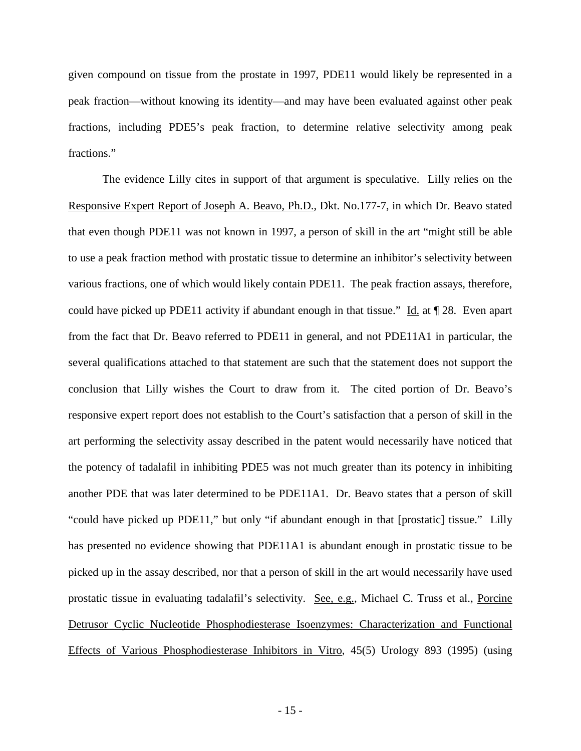given compound on tissue from the prostate in 1997, PDE11 would likely be represented in a peak fraction—without knowing its identity—and may have been evaluated against other peak fractions, including PDE5's peak fraction, to determine relative selectivity among peak fractions."

The evidence Lilly cites in support of that argument is speculative. Lilly relies on the Responsive Expert Report of Joseph A. Beavo, Ph.D., Dkt. No.177-7, in which Dr. Beavo stated that even though PDE11 was not known in 1997, a person of skill in the art "might still be able to use a peak fraction method with prostatic tissue to determine an inhibitor's selectivity between various fractions, one of which would likely contain PDE11. The peak fraction assays, therefore, could have picked up PDE11 activity if abundant enough in that tissue." Id. at  $\P$  28. Even apart from the fact that Dr. Beavo referred to PDE11 in general, and not PDE11A1 in particular, the several qualifications attached to that statement are such that the statement does not support the conclusion that Lilly wishes the Court to draw from it. The cited portion of Dr. Beavo's responsive expert report does not establish to the Court's satisfaction that a person of skill in the art performing the selectivity assay described in the patent would necessarily have noticed that the potency of tadalafil in inhibiting PDE5 was not much greater than its potency in inhibiting another PDE that was later determined to be PDE11A1. Dr. Beavo states that a person of skill "could have picked up PDE11," but only "if abundant enough in that [prostatic] tissue." Lilly has presented no evidence showing that PDE11A1 is abundant enough in prostatic tissue to be picked up in the assay described, nor that a person of skill in the art would necessarily have used prostatic tissue in evaluating tadalafil's selectivity. See, e.g., Michael C. Truss et al., Porcine Detrusor Cyclic Nucleotide Phosphodiesterase Isoenzymes: Characterization and Functional Effects of Various Phosphodiesterase Inhibitors in Vitro, 45(5) Urology 893 (1995) (using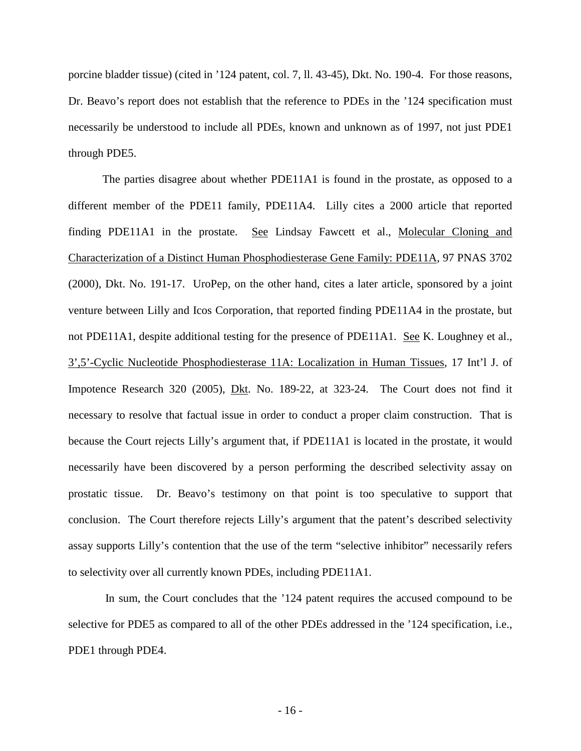porcine bladder tissue) (cited in '124 patent, col. 7, ll. 43-45), Dkt. No. 190-4. For those reasons, Dr. Beavo's report does not establish that the reference to PDEs in the '124 specification must necessarily be understood to include all PDEs, known and unknown as of 1997, not just PDE1 through PDE5.

The parties disagree about whether PDE11A1 is found in the prostate, as opposed to a different member of the PDE11 family, PDE11A4. Lilly cites a 2000 article that reported finding PDE11A1 in the prostate. See Lindsay Fawcett et al., Molecular Cloning and Characterization of a Distinct Human Phosphodiesterase Gene Family: PDE11A, 97 PNAS 3702 (2000), Dkt. No. 191-17. UroPep, on the other hand, cites a later article, sponsored by a joint venture between Lilly and Icos Corporation, that reported finding PDE11A4 in the prostate, but not PDE11A1, despite additional testing for the presence of PDE11A1. See K. Loughney et al., 3',5'-Cyclic Nucleotide Phosphodiesterase 11A: Localization in Human Tissues, 17 Int'l J. of Impotence Research 320 (2005), Dkt. No. 189-22, at 323-24. The Court does not find it necessary to resolve that factual issue in order to conduct a proper claim construction. That is because the Court rejects Lilly's argument that, if PDE11A1 is located in the prostate, it would necessarily have been discovered by a person performing the described selectivity assay on prostatic tissue. Dr. Beavo's testimony on that point is too speculative to support that conclusion. The Court therefore rejects Lilly's argument that the patent's described selectivity assay supports Lilly's contention that the use of the term "selective inhibitor" necessarily refers to selectivity over all currently known PDEs, including PDE11A1.

 In sum, the Court concludes that the '124 patent requires the accused compound to be selective for PDE5 as compared to all of the other PDEs addressed in the '124 specification, i.e., PDE1 through PDE4.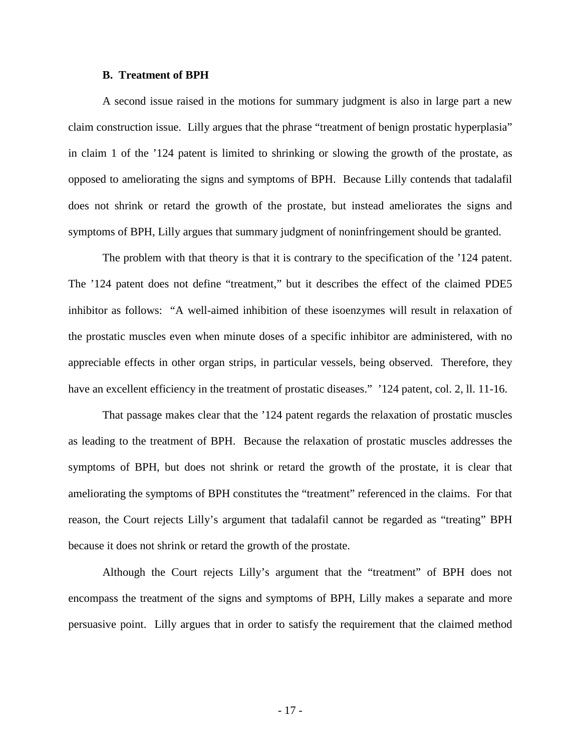### **B. Treatment of BPH**

A second issue raised in the motions for summary judgment is also in large part a new claim construction issue. Lilly argues that the phrase "treatment of benign prostatic hyperplasia" in claim 1 of the '124 patent is limited to shrinking or slowing the growth of the prostate, as opposed to ameliorating the signs and symptoms of BPH. Because Lilly contends that tadalafil does not shrink or retard the growth of the prostate, but instead ameliorates the signs and symptoms of BPH, Lilly argues that summary judgment of noninfringement should be granted.

The problem with that theory is that it is contrary to the specification of the '124 patent. The '124 patent does not define "treatment," but it describes the effect of the claimed PDE5 inhibitor as follows: "A well-aimed inhibition of these isoenzymes will result in relaxation of the prostatic muscles even when minute doses of a specific inhibitor are administered, with no appreciable effects in other organ strips, in particular vessels, being observed. Therefore, they have an excellent efficiency in the treatment of prostatic diseases." '124 patent, col. 2, ll. 11-16.

That passage makes clear that the '124 patent regards the relaxation of prostatic muscles as leading to the treatment of BPH. Because the relaxation of prostatic muscles addresses the symptoms of BPH, but does not shrink or retard the growth of the prostate, it is clear that ameliorating the symptoms of BPH constitutes the "treatment" referenced in the claims. For that reason, the Court rejects Lilly's argument that tadalafil cannot be regarded as "treating" BPH because it does not shrink or retard the growth of the prostate.

Although the Court rejects Lilly's argument that the "treatment" of BPH does not encompass the treatment of the signs and symptoms of BPH, Lilly makes a separate and more persuasive point. Lilly argues that in order to satisfy the requirement that the claimed method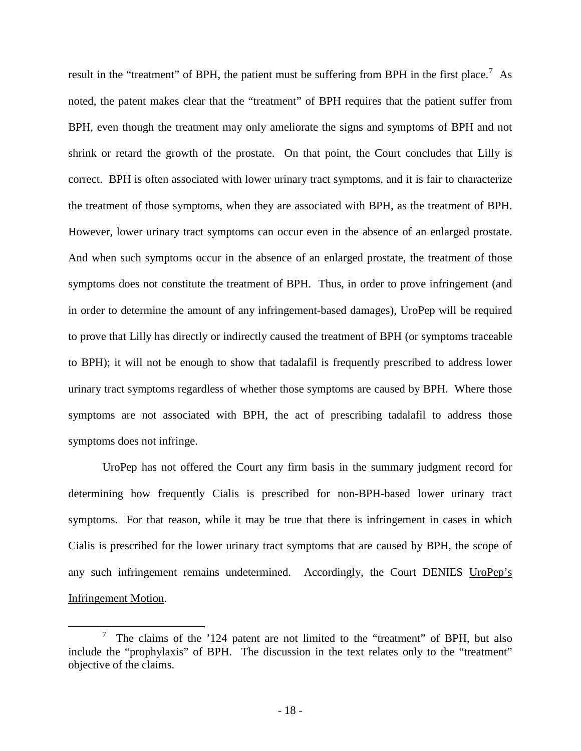result in the "treatment" of BPH, the patient must be suffering from BPH in the first place.<sup>[7](#page-17-0)</sup> As noted, the patent makes clear that the "treatment" of BPH requires that the patient suffer from BPH, even though the treatment may only ameliorate the signs and symptoms of BPH and not shrink or retard the growth of the prostate. On that point, the Court concludes that Lilly is correct. BPH is often associated with lower urinary tract symptoms, and it is fair to characterize the treatment of those symptoms, when they are associated with BPH, as the treatment of BPH. However, lower urinary tract symptoms can occur even in the absence of an enlarged prostate. And when such symptoms occur in the absence of an enlarged prostate, the treatment of those symptoms does not constitute the treatment of BPH. Thus, in order to prove infringement (and in order to determine the amount of any infringement-based damages), UroPep will be required to prove that Lilly has directly or indirectly caused the treatment of BPH (or symptoms traceable to BPH); it will not be enough to show that tadalafil is frequently prescribed to address lower urinary tract symptoms regardless of whether those symptoms are caused by BPH. Where those symptoms are not associated with BPH, the act of prescribing tadalafil to address those symptoms does not infringe.

UroPep has not offered the Court any firm basis in the summary judgment record for determining how frequently Cialis is prescribed for non-BPH-based lower urinary tract symptoms. For that reason, while it may be true that there is infringement in cases in which Cialis is prescribed for the lower urinary tract symptoms that are caused by BPH, the scope of any such infringement remains undetermined. Accordingly, the Court DENIES UroPep's Infringement Motion.

<u>.</u>

<span id="page-17-0"></span><sup>7</sup> The claims of the '124 patent are not limited to the "treatment" of BPH, but also include the "prophylaxis" of BPH. The discussion in the text relates only to the "treatment" objective of the claims.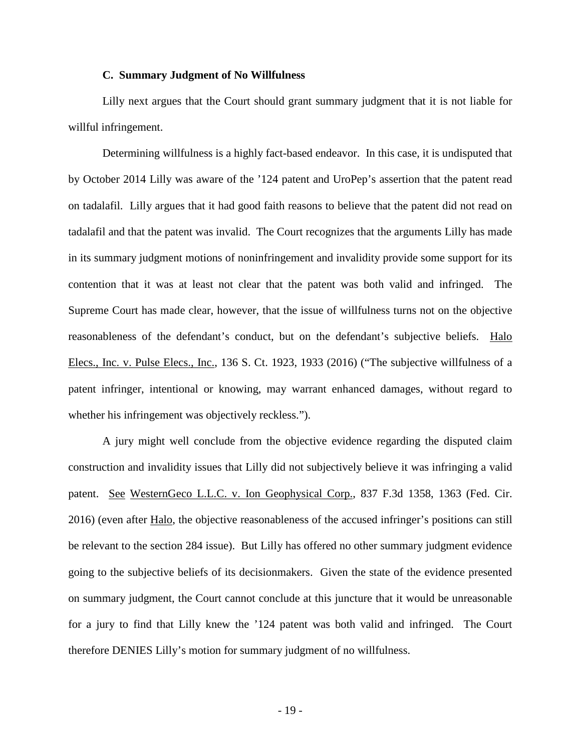### **C. Summary Judgment of No Willfulness**

Lilly next argues that the Court should grant summary judgment that it is not liable for willful infringement.

Determining willfulness is a highly fact-based endeavor. In this case, it is undisputed that by October 2014 Lilly was aware of the '124 patent and UroPep's assertion that the patent read on tadalafil. Lilly argues that it had good faith reasons to believe that the patent did not read on tadalafil and that the patent was invalid. The Court recognizes that the arguments Lilly has made in its summary judgment motions of noninfringement and invalidity provide some support for its contention that it was at least not clear that the patent was both valid and infringed. The Supreme Court has made clear, however, that the issue of willfulness turns not on the objective reasonableness of the defendant's conduct, but on the defendant's subjective beliefs. Halo Elecs., Inc. v. Pulse Elecs., Inc., 136 S. Ct. 1923, 1933 (2016) ("The subjective willfulness of a patent infringer, intentional or knowing, may warrant enhanced damages, without regard to whether his infringement was objectively reckless.").

A jury might well conclude from the objective evidence regarding the disputed claim construction and invalidity issues that Lilly did not subjectively believe it was infringing a valid patent. See WesternGeco L.L.C. v. Ion Geophysical Corp., 837 F.3d 1358, 1363 (Fed. Cir. 2016) (even after Halo, the objective reasonableness of the accused infringer's positions can still be relevant to the section 284 issue). But Lilly has offered no other summary judgment evidence going to the subjective beliefs of its decisionmakers. Given the state of the evidence presented on summary judgment, the Court cannot conclude at this juncture that it would be unreasonable for a jury to find that Lilly knew the '124 patent was both valid and infringed. The Court therefore DENIES Lilly's motion for summary judgment of no willfulness.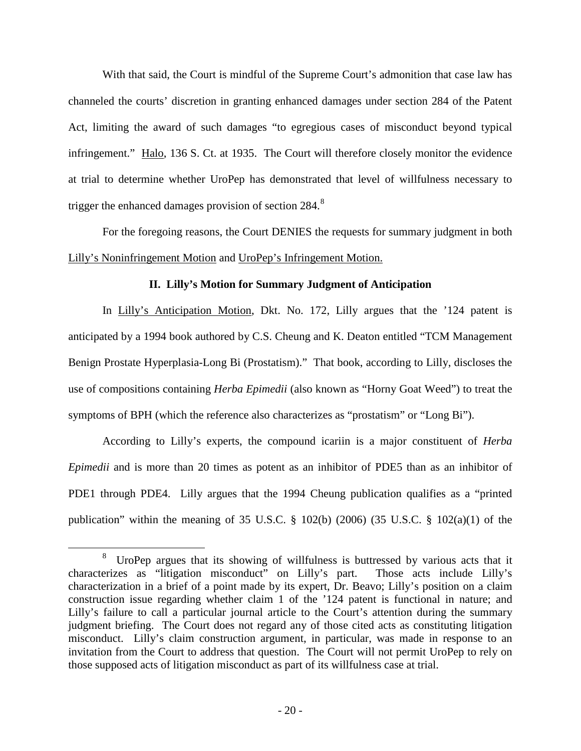With that said, the Court is mindful of the Supreme Court's admonition that case law has channeled the courts' discretion in granting enhanced damages under section 284 of the Patent Act, limiting the award of such damages "to egregious cases of misconduct beyond typical infringement." Halo, 136 S. Ct. at 1935. The Court will therefore closely monitor the evidence at trial to determine whether UroPep has demonstrated that level of willfulness necessary to trigger the enhanced damages provision of section 2[8](#page-19-0)4.<sup>8</sup>

For the foregoing reasons, the Court DENIES the requests for summary judgment in both Lilly's Noninfringement Motion and UroPep's Infringement Motion.

## **II. Lilly's Motion for Summary Judgment of Anticipation**

In Lilly's Anticipation Motion, Dkt. No. 172, Lilly argues that the '124 patent is anticipated by a 1994 book authored by C.S. Cheung and K. Deaton entitled "TCM Management Benign Prostate Hyperplasia-Long Bi (Prostatism)." That book, according to Lilly, discloses the use of compositions containing *Herba Epimedii* (also known as "Horny Goat Weed") to treat the symptoms of BPH (which the reference also characterizes as "prostatism" or "Long Bi").

According to Lilly's experts, the compound icariin is a major constituent of *Herba Epimedii* and is more than 20 times as potent as an inhibitor of PDE5 than as an inhibitor of PDE1 through PDE4. Lilly argues that the 1994 Cheung publication qualifies as a "printed publication" within the meaning of 35 U.S.C. § 102(b) (2006) (35 U.S.C. § 102(a)(1) of the

<u>.</u>

<span id="page-19-0"></span><sup>8</sup> UroPep argues that its showing of willfulness is buttressed by various acts that it characterizes as "litigation misconduct" on Lilly's part. Those acts include Lilly's characterization in a brief of a point made by its expert, Dr. Beavo; Lilly's position on a claim construction issue regarding whether claim 1 of the '124 patent is functional in nature; and Lilly's failure to call a particular journal article to the Court's attention during the summary judgment briefing. The Court does not regard any of those cited acts as constituting litigation misconduct. Lilly's claim construction argument, in particular, was made in response to an invitation from the Court to address that question. The Court will not permit UroPep to rely on those supposed acts of litigation misconduct as part of its willfulness case at trial.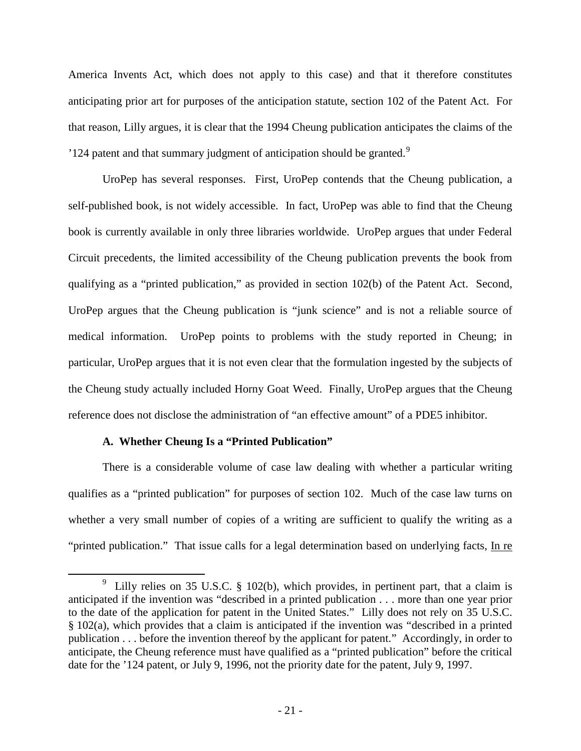America Invents Act, which does not apply to this case) and that it therefore constitutes anticipating prior art for purposes of the anticipation statute, section 102 of the Patent Act. For that reason, Lilly argues, it is clear that the 1994 Cheung publication anticipates the claims of the  $'124$  patent and that summary judgment of anticipation should be granted.<sup>[9](#page-20-0)</sup>

UroPep has several responses. First, UroPep contends that the Cheung publication, a self-published book, is not widely accessible. In fact, UroPep was able to find that the Cheung book is currently available in only three libraries worldwide. UroPep argues that under Federal Circuit precedents, the limited accessibility of the Cheung publication prevents the book from qualifying as a "printed publication," as provided in section 102(b) of the Patent Act. Second, UroPep argues that the Cheung publication is "junk science" and is not a reliable source of medical information. UroPep points to problems with the study reported in Cheung; in particular, UroPep argues that it is not even clear that the formulation ingested by the subjects of the Cheung study actually included Horny Goat Weed. Finally, UroPep argues that the Cheung reference does not disclose the administration of "an effective amount" of a PDE5 inhibitor.

# **A. Whether Cheung Is a "Printed Publication"**

<u>.</u>

There is a considerable volume of case law dealing with whether a particular writing qualifies as a "printed publication" for purposes of section 102. Much of the case law turns on whether a very small number of copies of a writing are sufficient to qualify the writing as a "printed publication." That issue calls for a legal determination based on underlying facts, In re

<span id="page-20-0"></span><sup>&</sup>lt;sup>9</sup> Lilly relies on 35 U.S.C. § 102(b), which provides, in pertinent part, that a claim is anticipated if the invention was "described in a printed publication . . . more than one year prior to the date of the application for patent in the United States." Lilly does not rely on 35 U.S.C. § 102(a), which provides that a claim is anticipated if the invention was "described in a printed publication . . . before the invention thereof by the applicant for patent." Accordingly, in order to anticipate, the Cheung reference must have qualified as a "printed publication" before the critical date for the '124 patent, or July 9, 1996, not the priority date for the patent, July 9, 1997.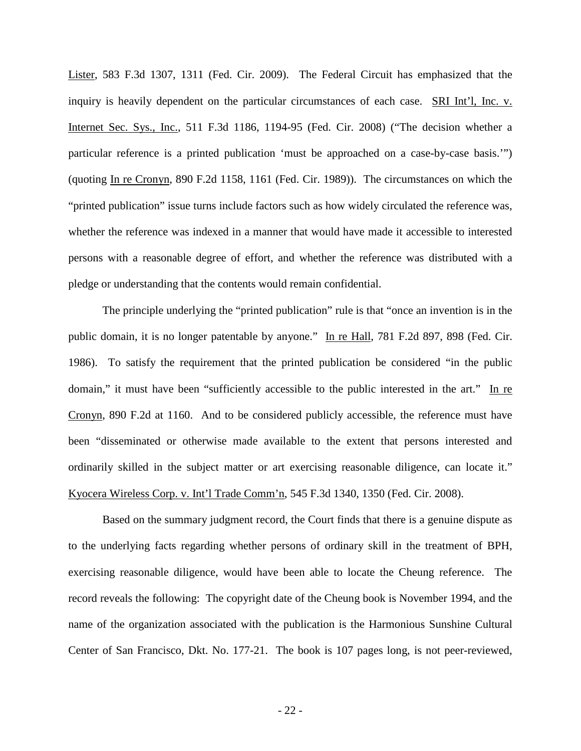Lister, 583 F.3d 1307, 1311 (Fed. Cir. 2009). The Federal Circuit has emphasized that the inquiry is heavily dependent on the particular circumstances of each case. SRI Int'l, Inc. v. Internet Sec. Sys., Inc., 511 F.3d 1186, 1194-95 (Fed. Cir. 2008) ("The decision whether a particular reference is a printed publication 'must be approached on a case-by-case basis.'") (quoting In re Cronyn, 890 F.2d 1158, 1161 (Fed. Cir. 1989)). The circumstances on which the "printed publication" issue turns include factors such as how widely circulated the reference was, whether the reference was indexed in a manner that would have made it accessible to interested persons with a reasonable degree of effort, and whether the reference was distributed with a pledge or understanding that the contents would remain confidential.

The principle underlying the "printed publication" rule is that "once an invention is in the public domain, it is no longer patentable by anyone." In re Hall, 781 F.2d 897, 898 (Fed. Cir. 1986). To satisfy the requirement that the printed publication be considered "in the public domain," it must have been "sufficiently accessible to the public interested in the art." In re Cronyn, 890 F.2d at 1160. And to be considered publicly accessible, the reference must have been "disseminated or otherwise made available to the extent that persons interested and ordinarily skilled in the subject matter or art exercising reasonable diligence, can locate it." Kyocera Wireless Corp. v. Int'l Trade Comm'n, 545 F.3d 1340, 1350 (Fed. Cir. 2008).

Based on the summary judgment record, the Court finds that there is a genuine dispute as to the underlying facts regarding whether persons of ordinary skill in the treatment of BPH, exercising reasonable diligence, would have been able to locate the Cheung reference. The record reveals the following: The copyright date of the Cheung book is November 1994, and the name of the organization associated with the publication is the Harmonious Sunshine Cultural Center of San Francisco, Dkt. No. 177-21. The book is 107 pages long, is not peer-reviewed,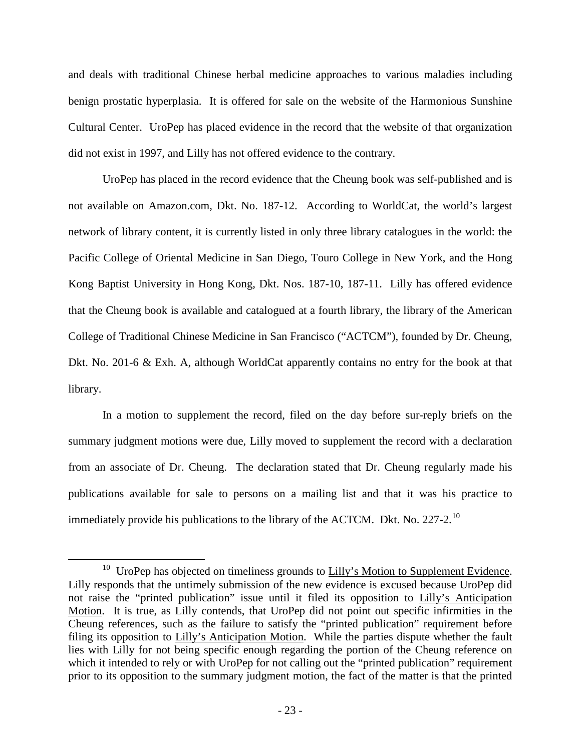and deals with traditional Chinese herbal medicine approaches to various maladies including benign prostatic hyperplasia. It is offered for sale on the website of the Harmonious Sunshine Cultural Center. UroPep has placed evidence in the record that the website of that organization did not exist in 1997, and Lilly has not offered evidence to the contrary.

UroPep has placed in the record evidence that the Cheung book was self-published and is not available on Amazon.com, Dkt. No. 187-12. According to WorldCat, the world's largest network of library content, it is currently listed in only three library catalogues in the world: the Pacific College of Oriental Medicine in San Diego, Touro College in New York, and the Hong Kong Baptist University in Hong Kong, Dkt. Nos. 187-10, 187-11. Lilly has offered evidence that the Cheung book is available and catalogued at a fourth library, the library of the American College of Traditional Chinese Medicine in San Francisco ("ACTCM"), founded by Dr. Cheung, Dkt. No. 201-6 & Exh. A, although WorldCat apparently contains no entry for the book at that library.

In a motion to supplement the record, filed on the day before sur-reply briefs on the summary judgment motions were due, Lilly moved to supplement the record with a declaration from an associate of Dr. Cheung. The declaration stated that Dr. Cheung regularly made his publications available for sale to persons on a mailing list and that it was his practice to immediately provide his publications to the library of the ACTCM. Dkt. No. 227-2.<sup>[10](#page-22-0)</sup>

 $\overline{a}$ 

<span id="page-22-0"></span> $10$  UroPep has objected on timeliness grounds to Lilly's Motion to Supplement Evidence. Lilly responds that the untimely submission of the new evidence is excused because UroPep did not raise the "printed publication" issue until it filed its opposition to Lilly's Anticipation Motion. It is true, as Lilly contends, that UroPep did not point out specific infirmities in the Cheung references, such as the failure to satisfy the "printed publication" requirement before filing its opposition to Lilly's Anticipation Motion. While the parties dispute whether the fault lies with Lilly for not being specific enough regarding the portion of the Cheung reference on which it intended to rely or with UroPep for not calling out the "printed publication" requirement prior to its opposition to the summary judgment motion, the fact of the matter is that the printed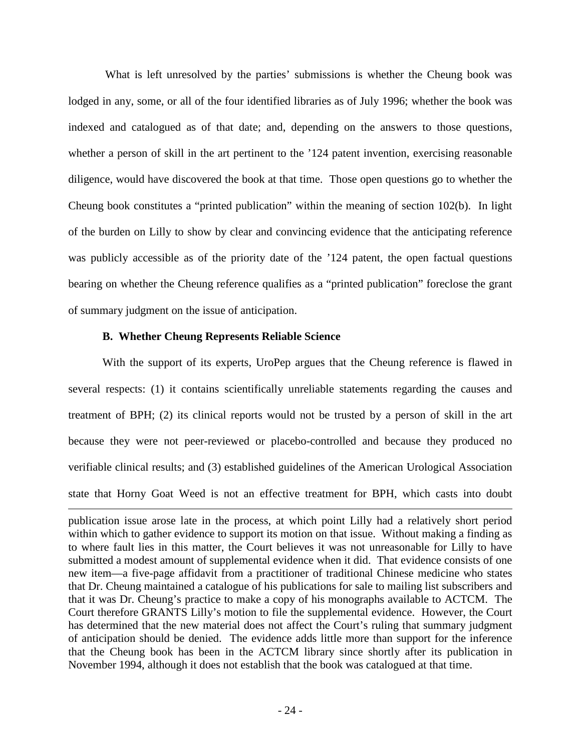What is left unresolved by the parties' submissions is whether the Cheung book was lodged in any, some, or all of the four identified libraries as of July 1996; whether the book was indexed and catalogued as of that date; and, depending on the answers to those questions, whether a person of skill in the art pertinent to the '124 patent invention, exercising reasonable diligence, would have discovered the book at that time. Those open questions go to whether the Cheung book constitutes a "printed publication" within the meaning of section 102(b). In light of the burden on Lilly to show by clear and convincing evidence that the anticipating reference was publicly accessible as of the priority date of the '124 patent, the open factual questions bearing on whether the Cheung reference qualifies as a "printed publication" foreclose the grant of summary judgment on the issue of anticipation.

## **B. Whether Cheung Represents Reliable Science**

<u>.</u>

With the support of its experts, UroPep argues that the Cheung reference is flawed in several respects: (1) it contains scientifically unreliable statements regarding the causes and treatment of BPH; (2) its clinical reports would not be trusted by a person of skill in the art because they were not peer-reviewed or placebo-controlled and because they produced no verifiable clinical results; and (3) established guidelines of the American Urological Association state that Horny Goat Weed is not an effective treatment for BPH, which casts into doubt

publication issue arose late in the process, at which point Lilly had a relatively short period within which to gather evidence to support its motion on that issue. Without making a finding as to where fault lies in this matter, the Court believes it was not unreasonable for Lilly to have submitted a modest amount of supplemental evidence when it did. That evidence consists of one new item—a five-page affidavit from a practitioner of traditional Chinese medicine who states that Dr. Cheung maintained a catalogue of his publications for sale to mailing list subscribers and that it was Dr. Cheung's practice to make a copy of his monographs available to ACTCM. The Court therefore GRANTS Lilly's motion to file the supplemental evidence. However, the Court has determined that the new material does not affect the Court's ruling that summary judgment of anticipation should be denied. The evidence adds little more than support for the inference that the Cheung book has been in the ACTCM library since shortly after its publication in November 1994, although it does not establish that the book was catalogued at that time.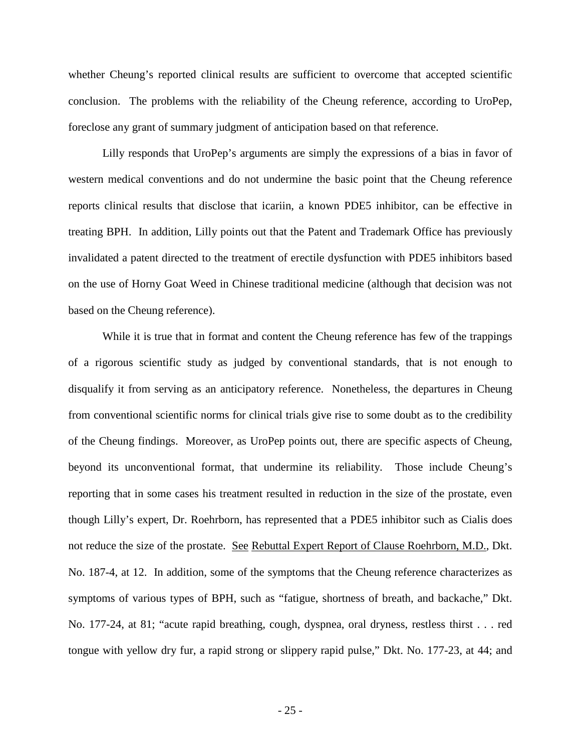whether Cheung's reported clinical results are sufficient to overcome that accepted scientific conclusion. The problems with the reliability of the Cheung reference, according to UroPep, foreclose any grant of summary judgment of anticipation based on that reference.

Lilly responds that UroPep's arguments are simply the expressions of a bias in favor of western medical conventions and do not undermine the basic point that the Cheung reference reports clinical results that disclose that icariin, a known PDE5 inhibitor, can be effective in treating BPH. In addition, Lilly points out that the Patent and Trademark Office has previously invalidated a patent directed to the treatment of erectile dysfunction with PDE5 inhibitors based on the use of Horny Goat Weed in Chinese traditional medicine (although that decision was not based on the Cheung reference).

While it is true that in format and content the Cheung reference has few of the trappings of a rigorous scientific study as judged by conventional standards, that is not enough to disqualify it from serving as an anticipatory reference. Nonetheless, the departures in Cheung from conventional scientific norms for clinical trials give rise to some doubt as to the credibility of the Cheung findings. Moreover, as UroPep points out, there are specific aspects of Cheung, beyond its unconventional format, that undermine its reliability. Those include Cheung's reporting that in some cases his treatment resulted in reduction in the size of the prostate, even though Lilly's expert, Dr. Roehrborn, has represented that a PDE5 inhibitor such as Cialis does not reduce the size of the prostate. See Rebuttal Expert Report of Clause Roehrborn, M.D., Dkt. No. 187-4, at 12. In addition, some of the symptoms that the Cheung reference characterizes as symptoms of various types of BPH, such as "fatigue, shortness of breath, and backache," Dkt. No. 177-24, at 81; "acute rapid breathing, cough, dyspnea, oral dryness, restless thirst . . . red tongue with yellow dry fur, a rapid strong or slippery rapid pulse," Dkt. No. 177-23, at 44; and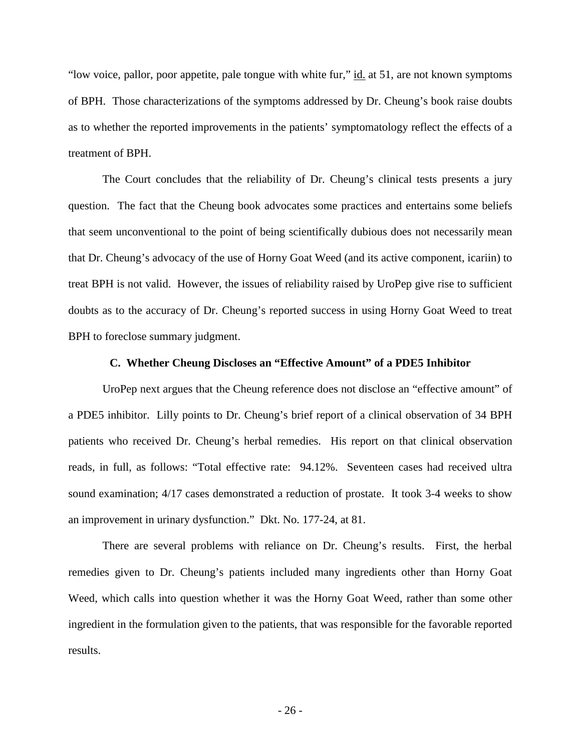"low voice, pallor, poor appetite, pale tongue with white fur," id. at 51, are not known symptoms of BPH. Those characterizations of the symptoms addressed by Dr. Cheung's book raise doubts as to whether the reported improvements in the patients' symptomatology reflect the effects of a treatment of BPH.

The Court concludes that the reliability of Dr. Cheung's clinical tests presents a jury question. The fact that the Cheung book advocates some practices and entertains some beliefs that seem unconventional to the point of being scientifically dubious does not necessarily mean that Dr. Cheung's advocacy of the use of Horny Goat Weed (and its active component, icariin) to treat BPH is not valid. However, the issues of reliability raised by UroPep give rise to sufficient doubts as to the accuracy of Dr. Cheung's reported success in using Horny Goat Weed to treat BPH to foreclose summary judgment.

### **C. Whether Cheung Discloses an "Effective Amount" of a PDE5 Inhibitor**

UroPep next argues that the Cheung reference does not disclose an "effective amount" of a PDE5 inhibitor. Lilly points to Dr. Cheung's brief report of a clinical observation of 34 BPH patients who received Dr. Cheung's herbal remedies. His report on that clinical observation reads, in full, as follows: "Total effective rate: 94.12%. Seventeen cases had received ultra sound examination; 4/17 cases demonstrated a reduction of prostate. It took 3-4 weeks to show an improvement in urinary dysfunction." Dkt. No. 177-24, at 81.

There are several problems with reliance on Dr. Cheung's results. First, the herbal remedies given to Dr. Cheung's patients included many ingredients other than Horny Goat Weed, which calls into question whether it was the Horny Goat Weed, rather than some other ingredient in the formulation given to the patients, that was responsible for the favorable reported results.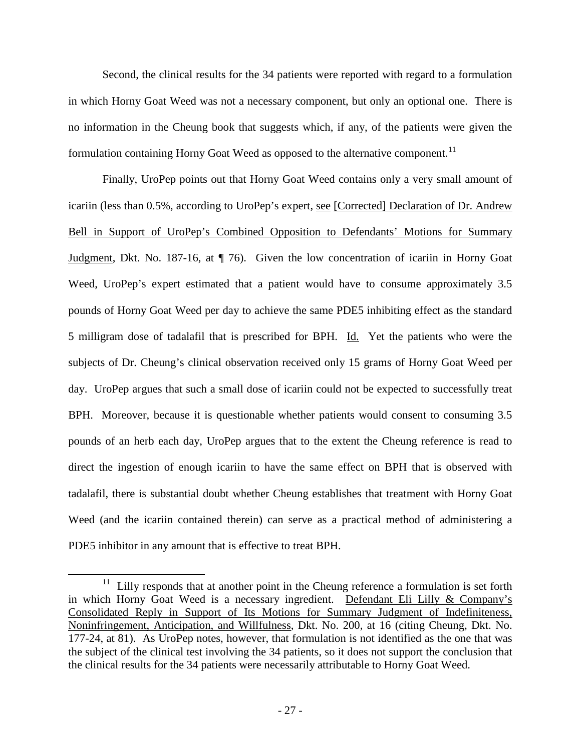Second, the clinical results for the 34 patients were reported with regard to a formulation in which Horny Goat Weed was not a necessary component, but only an optional one. There is no information in the Cheung book that suggests which, if any, of the patients were given the formulation containing Horny Goat Weed as opposed to the alternative component.<sup>[11](#page-26-0)</sup>

 Finally, UroPep points out that Horny Goat Weed contains only a very small amount of icariin (less than 0.5%, according to UroPep's expert, see [Corrected] Declaration of Dr. Andrew Bell in Support of UroPep's Combined Opposition to Defendants' Motions for Summary Judgment, Dkt. No. 187-16, at ¶ 76). Given the low concentration of icariin in Horny Goat Weed, UroPep's expert estimated that a patient would have to consume approximately 3.5 pounds of Horny Goat Weed per day to achieve the same PDE5 inhibiting effect as the standard 5 milligram dose of tadalafil that is prescribed for BPH. Id. Yet the patients who were the subjects of Dr. Cheung's clinical observation received only 15 grams of Horny Goat Weed per day. UroPep argues that such a small dose of icariin could not be expected to successfully treat BPH. Moreover, because it is questionable whether patients would consent to consuming 3.5 pounds of an herb each day, UroPep argues that to the extent the Cheung reference is read to direct the ingestion of enough icariin to have the same effect on BPH that is observed with tadalafil, there is substantial doubt whether Cheung establishes that treatment with Horny Goat Weed (and the icariin contained therein) can serve as a practical method of administering a PDE5 inhibitor in any amount that is effective to treat BPH.

<u>.</u>

<span id="page-26-0"></span><sup>11</sup> Lilly responds that at another point in the Cheung reference a formulation is set forth in which Horny Goat Weed is a necessary ingredient. Defendant Eli Lilly & Company's Consolidated Reply in Support of Its Motions for Summary Judgment of Indefiniteness, Noninfringement, Anticipation, and Willfulness, Dkt. No. 200, at 16 (citing Cheung, Dkt. No. 177-24, at 81). As UroPep notes, however, that formulation is not identified as the one that was the subject of the clinical test involving the 34 patients, so it does not support the conclusion that the clinical results for the 34 patients were necessarily attributable to Horny Goat Weed.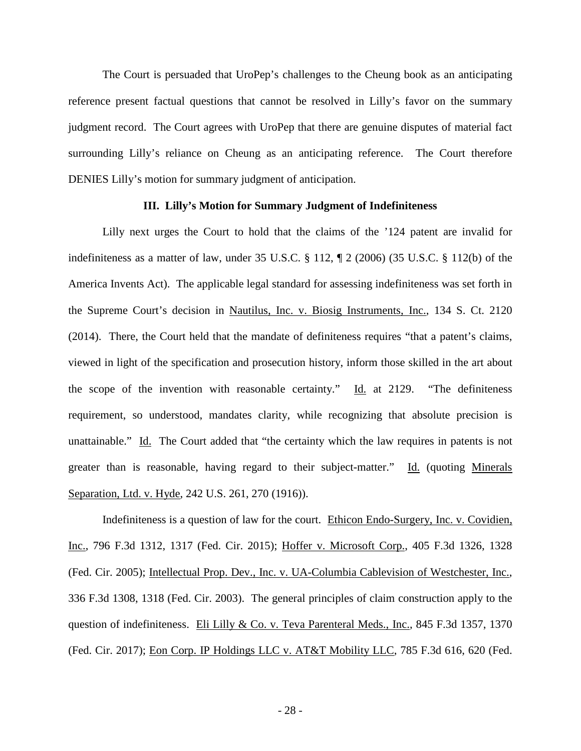The Court is persuaded that UroPep's challenges to the Cheung book as an anticipating reference present factual questions that cannot be resolved in Lilly's favor on the summary judgment record. The Court agrees with UroPep that there are genuine disputes of material fact surrounding Lilly's reliance on Cheung as an anticipating reference. The Court therefore DENIES Lilly's motion for summary judgment of anticipation.

### **III. Lilly's Motion for Summary Judgment of Indefiniteness**

Lilly next urges the Court to hold that the claims of the '124 patent are invalid for indefiniteness as a matter of law, under 35 U.S.C. § 112, ¶ 2 (2006) (35 U.S.C. § 112(b) of the America Invents Act). The applicable legal standard for assessing indefiniteness was set forth in the Supreme Court's decision in Nautilus, Inc. v. Biosig Instruments, Inc., 134 S. Ct. 2120 (2014). There, the Court held that the mandate of definiteness requires "that a patent's claims, viewed in light of the specification and prosecution history, inform those skilled in the art about the scope of the invention with reasonable certainty."  $\underline{Id}$  at 2129. "The definiteness requirement, so understood, mandates clarity, while recognizing that absolute precision is unattainable." Id. The Court added that "the certainty which the law requires in patents is not greater than is reasonable, having regard to their subject-matter." Id. (quoting Minerals Separation, Ltd. v. Hyde, 242 U.S. 261, 270 (1916)).

Indefiniteness is a question of law for the court. Ethicon Endo-Surgery, Inc. v. Covidien, Inc., 796 F.3d 1312, 1317 (Fed. Cir. 2015); Hoffer v. Microsoft Corp., 405 F.3d 1326, 1328 (Fed. Cir. 2005); Intellectual Prop. Dev., Inc. v. UA-Columbia Cablevision of Westchester, Inc., 336 F.3d 1308, 1318 (Fed. Cir. 2003). The general principles of claim construction apply to the question of indefiniteness. Eli Lilly & Co. v. Teva Parenteral Meds., Inc., 845 F.3d 1357, 1370 (Fed. Cir. 2017); Eon Corp. IP Holdings LLC v. AT&T Mobility LLC, 785 F.3d 616, 620 (Fed.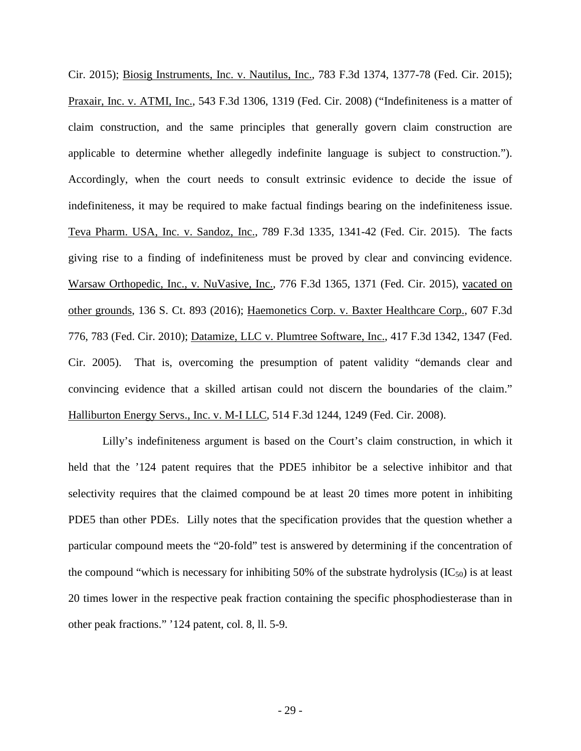Cir. 2015); Biosig Instruments, Inc. v. Nautilus, Inc., 783 F.3d 1374, 1377-78 (Fed. Cir. 2015); Praxair, Inc. v. ATMI, Inc., 543 F.3d 1306, 1319 (Fed. Cir. 2008) ("Indefiniteness is a matter of claim construction, and the same principles that generally govern claim construction are applicable to determine whether allegedly indefinite language is subject to construction."). Accordingly, when the court needs to consult extrinsic evidence to decide the issue of indefiniteness, it may be required to make factual findings bearing on the indefiniteness issue. Teva Pharm. USA, Inc. v. Sandoz, Inc., 789 F.3d 1335, 1341-42 (Fed. Cir. 2015). The facts giving rise to a finding of indefiniteness must be proved by clear and convincing evidence. Warsaw Orthopedic, Inc., v. NuVasive, Inc., 776 F.3d 1365, 1371 (Fed. Cir. 2015), vacated on other grounds, 136 S. Ct. 893 (2016); Haemonetics Corp. v. Baxter Healthcare Corp., 607 F.3d 776, 783 (Fed. Cir. 2010); Datamize, LLC v. Plumtree Software, Inc., 417 F.3d 1342, 1347 (Fed. Cir. 2005). That is, overcoming the presumption of patent validity "demands clear and convincing evidence that a skilled artisan could not discern the boundaries of the claim." Halliburton Energy Servs., Inc. v. M-I LLC, 514 F.3d 1244, 1249 (Fed. Cir. 2008).

Lilly's indefiniteness argument is based on the Court's claim construction, in which it held that the '124 patent requires that the PDE5 inhibitor be a selective inhibitor and that selectivity requires that the claimed compound be at least 20 times more potent in inhibiting PDE5 than other PDEs. Lilly notes that the specification provides that the question whether a particular compound meets the "20-fold" test is answered by determining if the concentration of the compound "which is necessary for inhibiting 50% of the substrate hydrolysis  $(IC_{50})$  is at least 20 times lower in the respective peak fraction containing the specific phosphodiesterase than in other peak fractions." '124 patent, col. 8, ll. 5-9.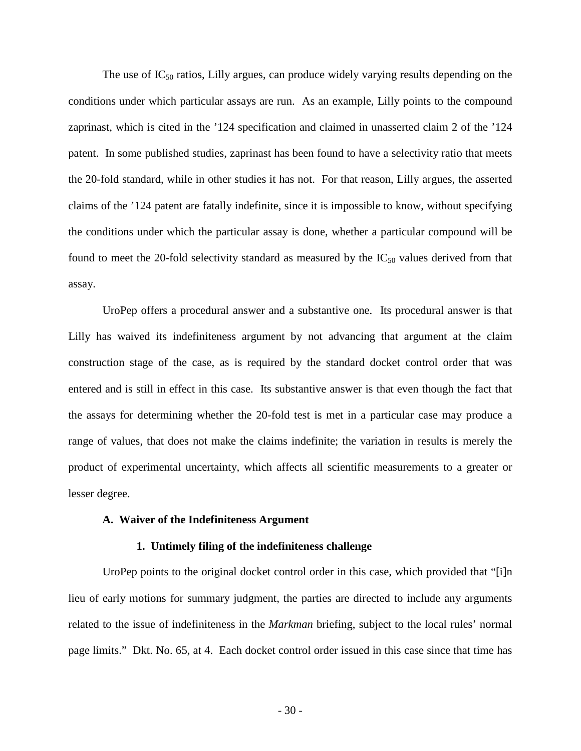The use of  $IC_{50}$  ratios, Lilly argues, can produce widely varying results depending on the conditions under which particular assays are run. As an example, Lilly points to the compound zaprinast, which is cited in the '124 specification and claimed in unasserted claim 2 of the '124 patent. In some published studies, zaprinast has been found to have a selectivity ratio that meets the 20-fold standard, while in other studies it has not. For that reason, Lilly argues, the asserted claims of the '124 patent are fatally indefinite, since it is impossible to know, without specifying the conditions under which the particular assay is done, whether a particular compound will be found to meet the 20-fold selectivity standard as measured by the  $IC_{50}$  values derived from that assay.

UroPep offers a procedural answer and a substantive one. Its procedural answer is that Lilly has waived its indefiniteness argument by not advancing that argument at the claim construction stage of the case, as is required by the standard docket control order that was entered and is still in effect in this case. Its substantive answer is that even though the fact that the assays for determining whether the 20-fold test is met in a particular case may produce a range of values, that does not make the claims indefinite; the variation in results is merely the product of experimental uncertainty, which affects all scientific measurements to a greater or lesser degree.

## **A. Waiver of the Indefiniteness Argument**

### **1. Untimely filing of the indefiniteness challenge**

UroPep points to the original docket control order in this case, which provided that "[i]n lieu of early motions for summary judgment, the parties are directed to include any arguments related to the issue of indefiniteness in the *Markman* briefing, subject to the local rules' normal page limits." Dkt. No. 65, at 4. Each docket control order issued in this case since that time has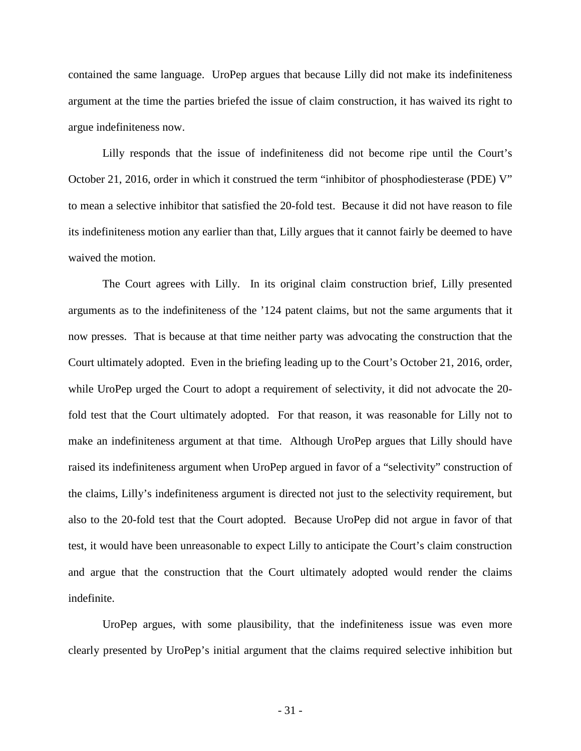contained the same language. UroPep argues that because Lilly did not make its indefiniteness argument at the time the parties briefed the issue of claim construction, it has waived its right to argue indefiniteness now.

Lilly responds that the issue of indefiniteness did not become ripe until the Court's October 21, 2016, order in which it construed the term "inhibitor of phosphodiesterase (PDE) V" to mean a selective inhibitor that satisfied the 20-fold test. Because it did not have reason to file its indefiniteness motion any earlier than that, Lilly argues that it cannot fairly be deemed to have waived the motion.

The Court agrees with Lilly. In its original claim construction brief, Lilly presented arguments as to the indefiniteness of the '124 patent claims, but not the same arguments that it now presses. That is because at that time neither party was advocating the construction that the Court ultimately adopted. Even in the briefing leading up to the Court's October 21, 2016, order, while UroPep urged the Court to adopt a requirement of selectivity, it did not advocate the 20 fold test that the Court ultimately adopted. For that reason, it was reasonable for Lilly not to make an indefiniteness argument at that time. Although UroPep argues that Lilly should have raised its indefiniteness argument when UroPep argued in favor of a "selectivity" construction of the claims, Lilly's indefiniteness argument is directed not just to the selectivity requirement, but also to the 20-fold test that the Court adopted. Because UroPep did not argue in favor of that test, it would have been unreasonable to expect Lilly to anticipate the Court's claim construction and argue that the construction that the Court ultimately adopted would render the claims indefinite.

UroPep argues, with some plausibility, that the indefiniteness issue was even more clearly presented by UroPep's initial argument that the claims required selective inhibition but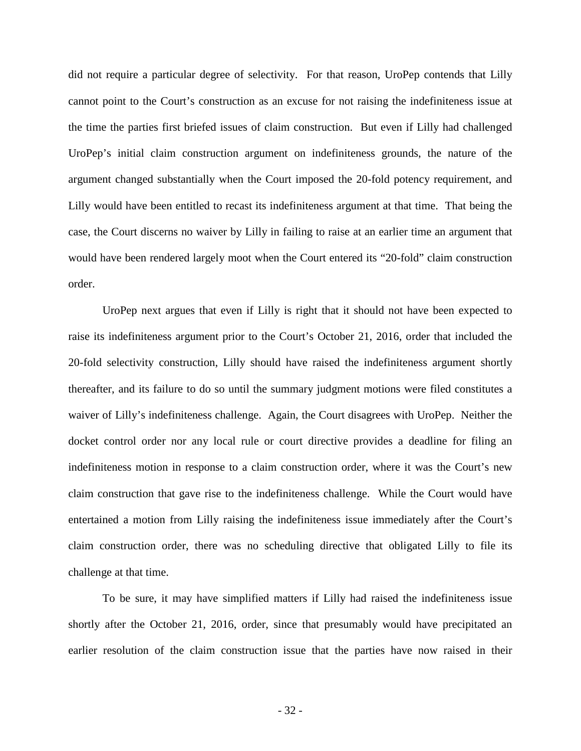did not require a particular degree of selectivity. For that reason, UroPep contends that Lilly cannot point to the Court's construction as an excuse for not raising the indefiniteness issue at the time the parties first briefed issues of claim construction. But even if Lilly had challenged UroPep's initial claim construction argument on indefiniteness grounds, the nature of the argument changed substantially when the Court imposed the 20-fold potency requirement, and Lilly would have been entitled to recast its indefiniteness argument at that time. That being the case, the Court discerns no waiver by Lilly in failing to raise at an earlier time an argument that would have been rendered largely moot when the Court entered its "20-fold" claim construction order.

UroPep next argues that even if Lilly is right that it should not have been expected to raise its indefiniteness argument prior to the Court's October 21, 2016, order that included the 20-fold selectivity construction, Lilly should have raised the indefiniteness argument shortly thereafter, and its failure to do so until the summary judgment motions were filed constitutes a waiver of Lilly's indefiniteness challenge. Again, the Court disagrees with UroPep. Neither the docket control order nor any local rule or court directive provides a deadline for filing an indefiniteness motion in response to a claim construction order, where it was the Court's new claim construction that gave rise to the indefiniteness challenge. While the Court would have entertained a motion from Lilly raising the indefiniteness issue immediately after the Court's claim construction order, there was no scheduling directive that obligated Lilly to file its challenge at that time.

To be sure, it may have simplified matters if Lilly had raised the indefiniteness issue shortly after the October 21, 2016, order, since that presumably would have precipitated an earlier resolution of the claim construction issue that the parties have now raised in their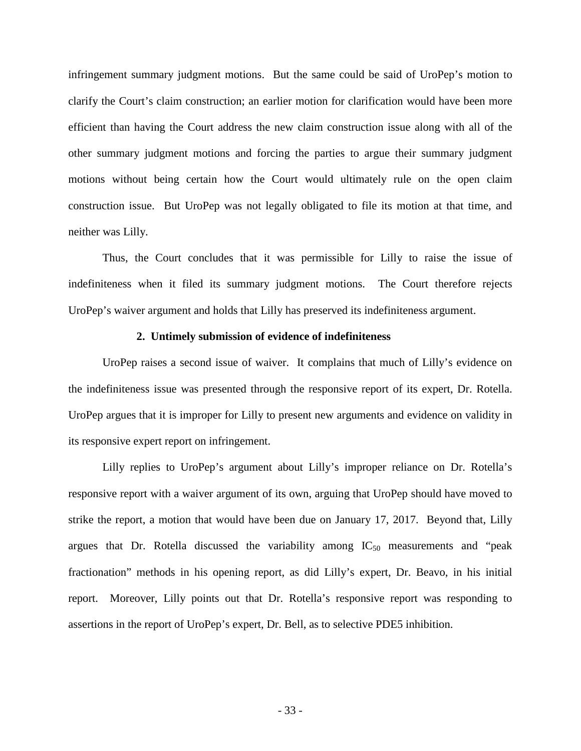infringement summary judgment motions. But the same could be said of UroPep's motion to clarify the Court's claim construction; an earlier motion for clarification would have been more efficient than having the Court address the new claim construction issue along with all of the other summary judgment motions and forcing the parties to argue their summary judgment motions without being certain how the Court would ultimately rule on the open claim construction issue. But UroPep was not legally obligated to file its motion at that time, and neither was Lilly.

Thus, the Court concludes that it was permissible for Lilly to raise the issue of indefiniteness when it filed its summary judgment motions. The Court therefore rejects UroPep's waiver argument and holds that Lilly has preserved its indefiniteness argument.

### **2. Untimely submission of evidence of indefiniteness**

UroPep raises a second issue of waiver. It complains that much of Lilly's evidence on the indefiniteness issue was presented through the responsive report of its expert, Dr. Rotella. UroPep argues that it is improper for Lilly to present new arguments and evidence on validity in its responsive expert report on infringement.

Lilly replies to UroPep's argument about Lilly's improper reliance on Dr. Rotella's responsive report with a waiver argument of its own, arguing that UroPep should have moved to strike the report, a motion that would have been due on January 17, 2017. Beyond that, Lilly argues that Dr. Rotella discussed the variability among  $IC_{50}$  measurements and "peak" fractionation" methods in his opening report, as did Lilly's expert, Dr. Beavo, in his initial report. Moreover, Lilly points out that Dr. Rotella's responsive report was responding to assertions in the report of UroPep's expert, Dr. Bell, as to selective PDE5 inhibition.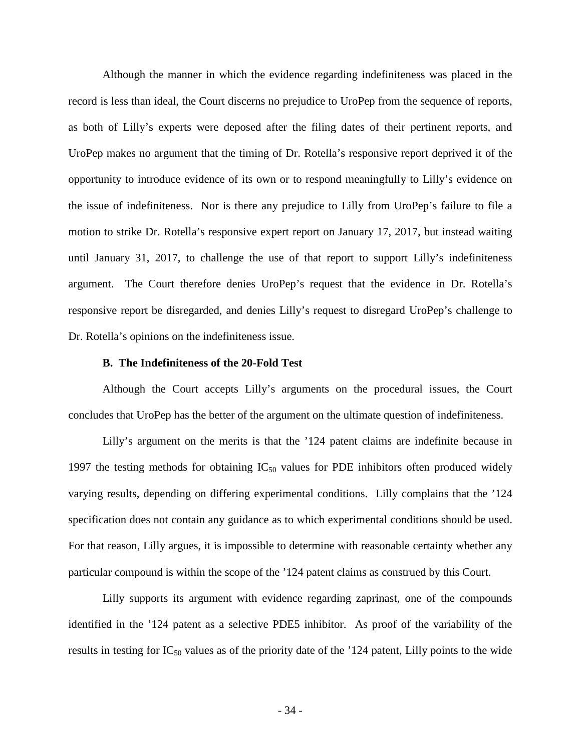Although the manner in which the evidence regarding indefiniteness was placed in the record is less than ideal, the Court discerns no prejudice to UroPep from the sequence of reports, as both of Lilly's experts were deposed after the filing dates of their pertinent reports, and UroPep makes no argument that the timing of Dr. Rotella's responsive report deprived it of the opportunity to introduce evidence of its own or to respond meaningfully to Lilly's evidence on the issue of indefiniteness. Nor is there any prejudice to Lilly from UroPep's failure to file a motion to strike Dr. Rotella's responsive expert report on January 17, 2017, but instead waiting until January 31, 2017, to challenge the use of that report to support Lilly's indefiniteness argument. The Court therefore denies UroPep's request that the evidence in Dr. Rotella's responsive report be disregarded, and denies Lilly's request to disregard UroPep's challenge to Dr. Rotella's opinions on the indefiniteness issue.

### **B. The Indefiniteness of the 20-Fold Test**

Although the Court accepts Lilly's arguments on the procedural issues, the Court concludes that UroPep has the better of the argument on the ultimate question of indefiniteness.

Lilly's argument on the merits is that the '124 patent claims are indefinite because in 1997 the testing methods for obtaining  $IC_{50}$  values for PDE inhibitors often produced widely varying results, depending on differing experimental conditions. Lilly complains that the '124 specification does not contain any guidance as to which experimental conditions should be used. For that reason, Lilly argues, it is impossible to determine with reasonable certainty whether any particular compound is within the scope of the '124 patent claims as construed by this Court.

Lilly supports its argument with evidence regarding zaprinast, one of the compounds identified in the '124 patent as a selective PDE5 inhibitor. As proof of the variability of the results in testing for  $IC_{50}$  values as of the priority date of the '124 patent, Lilly points to the wide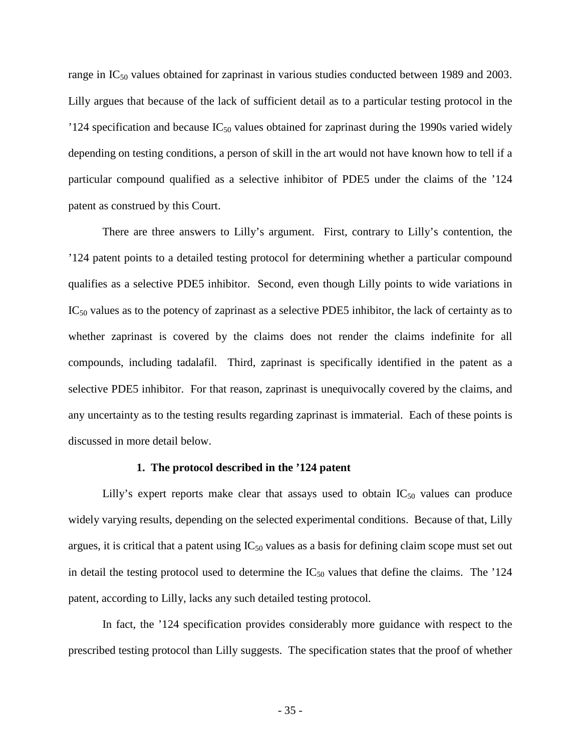range in IC<sub>50</sub> values obtained for zaprinast in various studies conducted between 1989 and 2003. Lilly argues that because of the lack of sufficient detail as to a particular testing protocol in the '124 specification and because  $IC_{50}$  values obtained for zaprinast during the 1990s varied widely depending on testing conditions, a person of skill in the art would not have known how to tell if a particular compound qualified as a selective inhibitor of PDE5 under the claims of the '124 patent as construed by this Court.

There are three answers to Lilly's argument. First, contrary to Lilly's contention, the '124 patent points to a detailed testing protocol for determining whether a particular compound qualifies as a selective PDE5 inhibitor. Second, even though Lilly points to wide variations in  $IC_{50}$  values as to the potency of zaprinast as a selective PDE5 inhibitor, the lack of certainty as to whether zaprinast is covered by the claims does not render the claims indefinite for all compounds, including tadalafil. Third, zaprinast is specifically identified in the patent as a selective PDE5 inhibitor. For that reason, zaprinast is unequivocally covered by the claims, and any uncertainty as to the testing results regarding zaprinast is immaterial. Each of these points is discussed in more detail below.

### **1. The protocol described in the '124 patent**

Lilly's expert reports make clear that assays used to obtain  $IC_{50}$  values can produce widely varying results, depending on the selected experimental conditions. Because of that, Lilly argues, it is critical that a patent using  $IC_{50}$  values as a basis for defining claim scope must set out in detail the testing protocol used to determine the  $IC_{50}$  values that define the claims. The '124 patent, according to Lilly, lacks any such detailed testing protocol.

In fact, the '124 specification provides considerably more guidance with respect to the prescribed testing protocol than Lilly suggests. The specification states that the proof of whether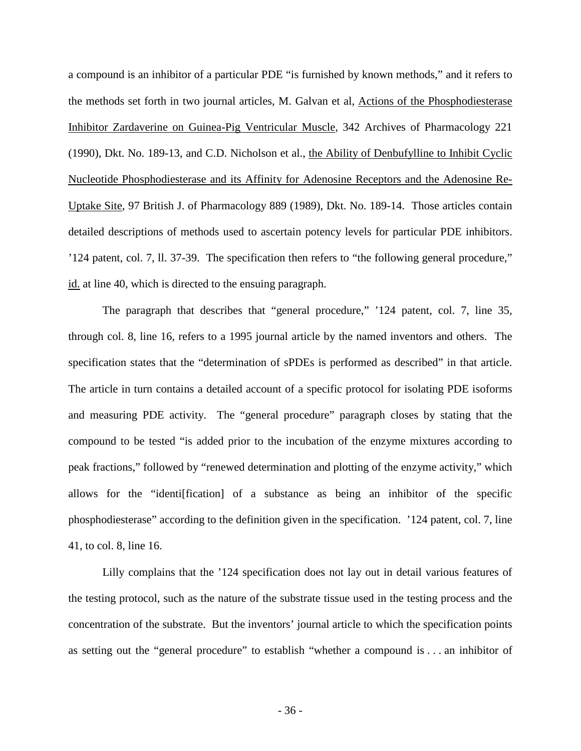a compound is an inhibitor of a particular PDE "is furnished by known methods," and it refers to the methods set forth in two journal articles, M. Galvan et al, Actions of the Phosphodiesterase Inhibitor Zardaverine on Guinea-Pig Ventricular Muscle, 342 Archives of Pharmacology 221 (1990), Dkt. No. 189-13, and C.D. Nicholson et al., the Ability of Denbufylline to Inhibit Cyclic Nucleotide Phosphodiesterase and its Affinity for Adenosine Receptors and the Adenosine Re-Uptake Site, 97 British J. of Pharmacology 889 (1989), Dkt. No. 189-14. Those articles contain detailed descriptions of methods used to ascertain potency levels for particular PDE inhibitors. '124 patent, col. 7, ll. 37-39. The specification then refers to "the following general procedure," id. at line 40, which is directed to the ensuing paragraph.

The paragraph that describes that "general procedure," '124 patent, col. 7, line 35, through col. 8, line 16, refers to a 1995 journal article by the named inventors and others. The specification states that the "determination of sPDEs is performed as described" in that article. The article in turn contains a detailed account of a specific protocol for isolating PDE isoforms and measuring PDE activity. The "general procedure" paragraph closes by stating that the compound to be tested "is added prior to the incubation of the enzyme mixtures according to peak fractions," followed by "renewed determination and plotting of the enzyme activity," which allows for the "identi[fication] of a substance as being an inhibitor of the specific phosphodiesterase" according to the definition given in the specification. '124 patent, col. 7, line 41, to col. 8, line 16.

Lilly complains that the '124 specification does not lay out in detail various features of the testing protocol, such as the nature of the substrate tissue used in the testing process and the concentration of the substrate. But the inventors' journal article to which the specification points as setting out the "general procedure" to establish "whether a compound is . . . an inhibitor of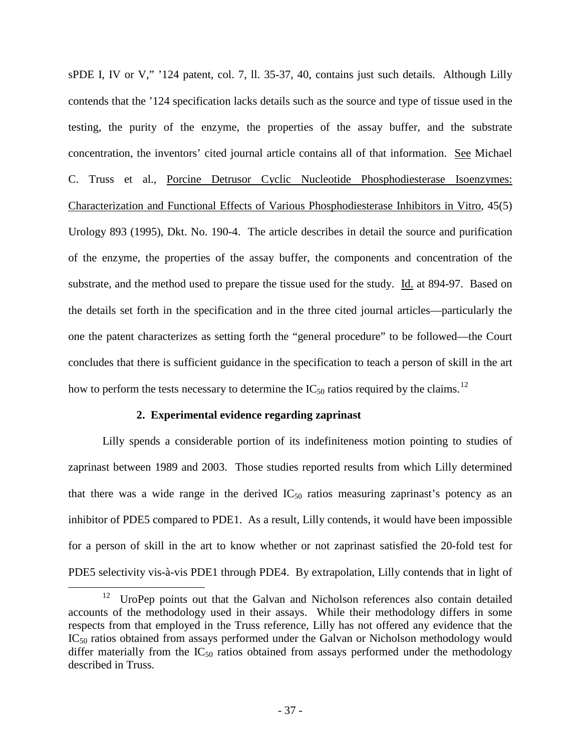sPDE I, IV or V," '124 patent, col. 7, ll. 35-37, 40, contains just such details. Although Lilly contends that the '124 specification lacks details such as the source and type of tissue used in the testing, the purity of the enzyme, the properties of the assay buffer, and the substrate concentration, the inventors' cited journal article contains all of that information. See Michael C. Truss et al., Porcine Detrusor Cyclic Nucleotide Phosphodiesterase Isoenzymes: Characterization and Functional Effects of Various Phosphodiesterase Inhibitors in Vitro, 45(5) Urology 893 (1995), Dkt. No. 190-4. The article describes in detail the source and purification of the enzyme, the properties of the assay buffer, the components and concentration of the substrate, and the method used to prepare the tissue used for the study. Id. at 894-97. Based on the details set forth in the specification and in the three cited journal articles—particularly the one the patent characterizes as setting forth the "general procedure" to be followed—the Court concludes that there is sufficient guidance in the specification to teach a person of skill in the art how to perform the tests necessary to determine the  $IC_{50}$  ratios required by the claims.<sup>[12](#page-36-0)</sup>

## **2. Experimental evidence regarding zaprinast**

 $\overline{a}$ 

Lilly spends a considerable portion of its indefiniteness motion pointing to studies of zaprinast between 1989 and 2003. Those studies reported results from which Lilly determined that there was a wide range in the derived  $IC_{50}$  ratios measuring zaprinast's potency as an inhibitor of PDE5 compared to PDE1. As a result, Lilly contends, it would have been impossible for a person of skill in the art to know whether or not zaprinast satisfied the 20-fold test for PDE5 selectivity vis-à-vis PDE1 through PDE4. By extrapolation, Lilly contends that in light of

<span id="page-36-0"></span><sup>12</sup> UroPep points out that the Galvan and Nicholson references also contain detailed accounts of the methodology used in their assays. While their methodology differs in some respects from that employed in the Truss reference, Lilly has not offered any evidence that the IC<sub>50</sub> ratios obtained from assays performed under the Galvan or Nicholson methodology would differ materially from the  $IC_{50}$  ratios obtained from assays performed under the methodology described in Truss.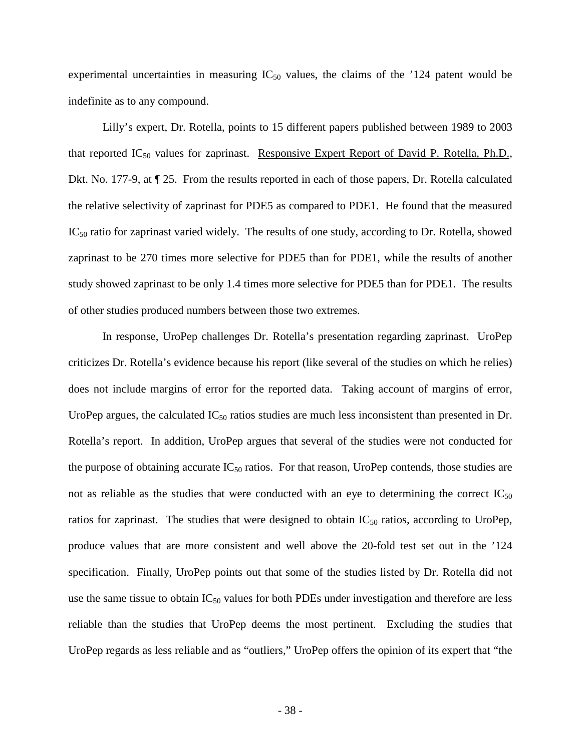experimental uncertainties in measuring  $IC_{50}$  values, the claims of the '124 patent would be indefinite as to any compound.

Lilly's expert, Dr. Rotella, points to 15 different papers published between 1989 to 2003 that reported  $IC_{50}$  values for zaprinast. Responsive Expert Report of David P. Rotella, Ph.D., Dkt. No. 177-9, at ¶ 25. From the results reported in each of those papers, Dr. Rotella calculated the relative selectivity of zaprinast for PDE5 as compared to PDE1. He found that the measured  $IC_{50}$  ratio for zaprinast varied widely. The results of one study, according to Dr. Rotella, showed zaprinast to be 270 times more selective for PDE5 than for PDE1, while the results of another study showed zaprinast to be only 1.4 times more selective for PDE5 than for PDE1. The results of other studies produced numbers between those two extremes.

In response, UroPep challenges Dr. Rotella's presentation regarding zaprinast. UroPep criticizes Dr. Rotella's evidence because his report (like several of the studies on which he relies) does not include margins of error for the reported data. Taking account of margins of error, UroPep argues, the calculated  $IC_{50}$  ratios studies are much less inconsistent than presented in Dr. Rotella's report. In addition, UroPep argues that several of the studies were not conducted for the purpose of obtaining accurate  $IC_{50}$  ratios. For that reason, UroPep contends, those studies are not as reliable as the studies that were conducted with an eye to determining the correct  $IC_{50}$ ratios for zaprinast. The studies that were designed to obtain  $IC_{50}$  ratios, according to UroPep, produce values that are more consistent and well above the 20-fold test set out in the '124 specification. Finally, UroPep points out that some of the studies listed by Dr. Rotella did not use the same tissue to obtain  $IC_{50}$  values for both PDEs under investigation and therefore are less reliable than the studies that UroPep deems the most pertinent. Excluding the studies that UroPep regards as less reliable and as "outliers," UroPep offers the opinion of its expert that "the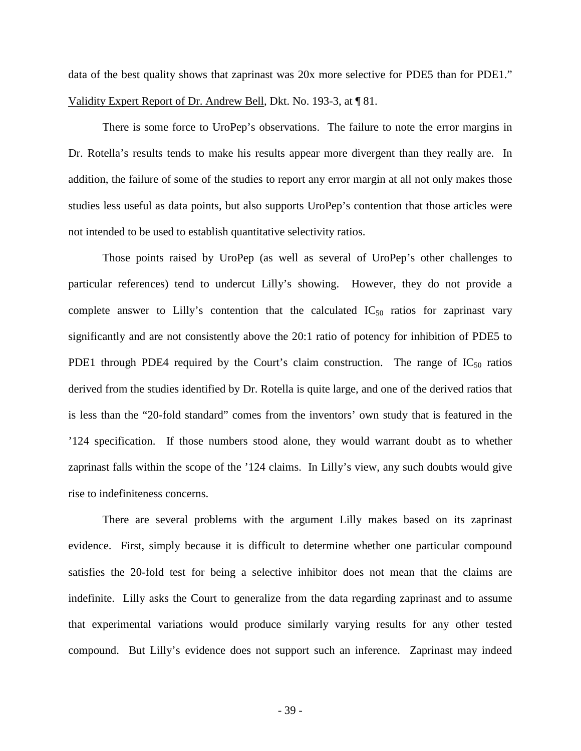data of the best quality shows that zaprinast was 20x more selective for PDE5 than for PDE1." Validity Expert Report of Dr. Andrew Bell, Dkt. No. 193-3, at ¶ 81.

There is some force to UroPep's observations. The failure to note the error margins in Dr. Rotella's results tends to make his results appear more divergent than they really are. In addition, the failure of some of the studies to report any error margin at all not only makes those studies less useful as data points, but also supports UroPep's contention that those articles were not intended to be used to establish quantitative selectivity ratios.

Those points raised by UroPep (as well as several of UroPep's other challenges to particular references) tend to undercut Lilly's showing. However, they do not provide a complete answer to Lilly's contention that the calculated  $IC_{50}$  ratios for zaprinast vary significantly and are not consistently above the 20:1 ratio of potency for inhibition of PDE5 to PDE1 through PDE4 required by the Court's claim construction. The range of  $IC_{50}$  ratios derived from the studies identified by Dr. Rotella is quite large, and one of the derived ratios that is less than the "20-fold standard" comes from the inventors' own study that is featured in the '124 specification. If those numbers stood alone, they would warrant doubt as to whether zaprinast falls within the scope of the '124 claims. In Lilly's view, any such doubts would give rise to indefiniteness concerns.

There are several problems with the argument Lilly makes based on its zaprinast evidence. First, simply because it is difficult to determine whether one particular compound satisfies the 20-fold test for being a selective inhibitor does not mean that the claims are indefinite. Lilly asks the Court to generalize from the data regarding zaprinast and to assume that experimental variations would produce similarly varying results for any other tested compound. But Lilly's evidence does not support such an inference. Zaprinast may indeed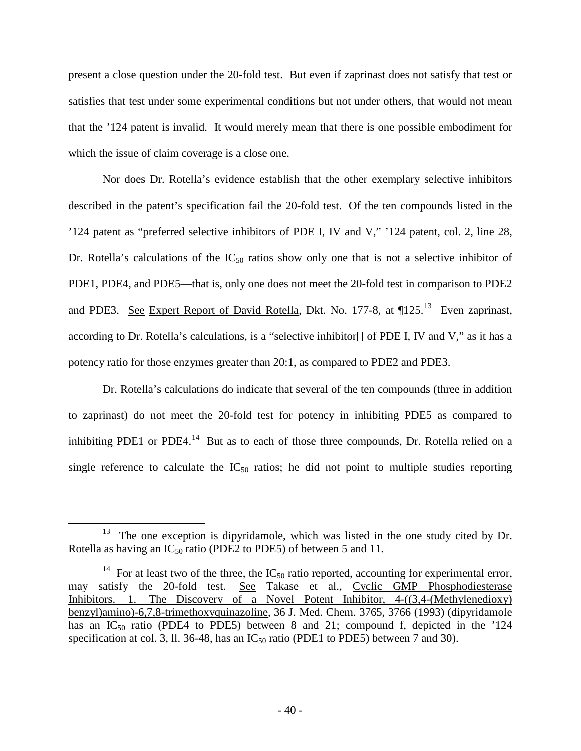present a close question under the 20-fold test. But even if zaprinast does not satisfy that test or satisfies that test under some experimental conditions but not under others, that would not mean that the '124 patent is invalid. It would merely mean that there is one possible embodiment for which the issue of claim coverage is a close one.

Nor does Dr. Rotella's evidence establish that the other exemplary selective inhibitors described in the patent's specification fail the 20-fold test. Of the ten compounds listed in the '124 patent as "preferred selective inhibitors of PDE I, IV and V," '124 patent, col. 2, line 28, Dr. Rotella's calculations of the  $IC_{50}$  ratios show only one that is not a selective inhibitor of PDE1, PDE4, and PDE5—that is, only one does not meet the 20-fold test in comparison to PDE2 and PDE3. See Expert Report of David Rotella, Dkt. No. 177-8, at ¶125.<sup>[13](#page-39-0)</sup> Even zaprinast, according to Dr. Rotella's calculations, is a "selective inhibitor[] of PDE I, IV and V," as it has a potency ratio for those enzymes greater than 20:1, as compared to PDE2 and PDE3.

Dr. Rotella's calculations do indicate that several of the ten compounds (three in addition to zaprinast) do not meet the 20-fold test for potency in inhibiting PDE5 as compared to inhibiting PDE1 or PDE4.<sup>[14](#page-39-1)</sup> But as to each of those three compounds, Dr. Rotella relied on a single reference to calculate the  $IC_{50}$  ratios; he did not point to multiple studies reporting

-

<span id="page-39-0"></span> $13$  The one exception is dipyridamole, which was listed in the one study cited by Dr. Rotella as having an  $IC_{50}$  ratio (PDE2 to PDE5) of between 5 and 11.

<span id="page-39-1"></span><sup>&</sup>lt;sup>14</sup> For at least two of the three, the IC<sub>50</sub> ratio reported, accounting for experimental error, may satisfy the 20-fold test. See Takase et al., Cyclic GMP Phosphodiesterase Inhibitors. 1. The Discovery of a Novel Potent Inhibitor, 4-((3,4-(Methylenedioxy) benzyl)amino)-6,7,8-trimethoxyquinazoline, 36 J. Med. Chem. 3765, 3766 (1993) (dipyridamole has an  $IC_{50}$  ratio (PDE4 to PDE5) between 8 and 21; compound f, depicted in the '124 specification at col. 3, ll. 36-48, has an  $IC_{50}$  ratio (PDE1 to PDE5) between 7 and 30).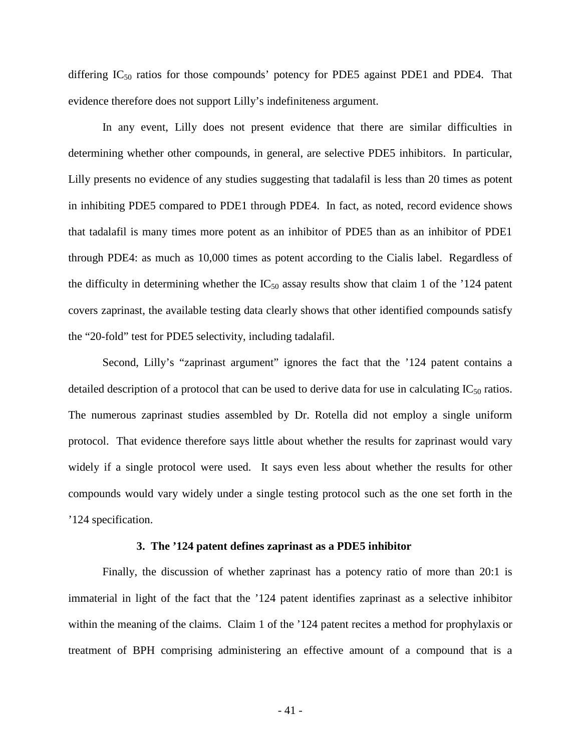differing  $IC_{50}$  ratios for those compounds' potency for PDE5 against PDE1 and PDE4. That evidence therefore does not support Lilly's indefiniteness argument.

In any event, Lilly does not present evidence that there are similar difficulties in determining whether other compounds, in general, are selective PDE5 inhibitors. In particular, Lilly presents no evidence of any studies suggesting that tadalafil is less than 20 times as potent in inhibiting PDE5 compared to PDE1 through PDE4. In fact, as noted, record evidence shows that tadalafil is many times more potent as an inhibitor of PDE5 than as an inhibitor of PDE1 through PDE4: as much as 10,000 times as potent according to the Cialis label. Regardless of the difficulty in determining whether the  $IC_{50}$  assay results show that claim 1 of the '124 patent covers zaprinast, the available testing data clearly shows that other identified compounds satisfy the "20-fold" test for PDE5 selectivity, including tadalafil.

Second, Lilly's "zaprinast argument" ignores the fact that the '124 patent contains a detailed description of a protocol that can be used to derive data for use in calculating  $IC_{50}$  ratios. The numerous zaprinast studies assembled by Dr. Rotella did not employ a single uniform protocol. That evidence therefore says little about whether the results for zaprinast would vary widely if a single protocol were used. It says even less about whether the results for other compounds would vary widely under a single testing protocol such as the one set forth in the '124 specification.

### **3. The '124 patent defines zaprinast as a PDE5 inhibitor**

Finally, the discussion of whether zaprinast has a potency ratio of more than 20:1 is immaterial in light of the fact that the '124 patent identifies zaprinast as a selective inhibitor within the meaning of the claims. Claim 1 of the '124 patent recites a method for prophylaxis or treatment of BPH comprising administering an effective amount of a compound that is a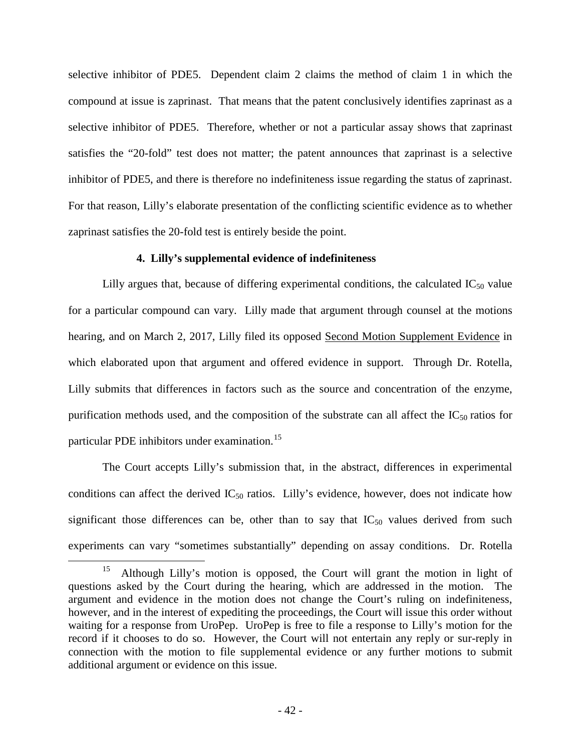selective inhibitor of PDE5. Dependent claim 2 claims the method of claim 1 in which the compound at issue is zaprinast. That means that the patent conclusively identifies zaprinast as a selective inhibitor of PDE5. Therefore, whether or not a particular assay shows that zaprinast satisfies the "20-fold" test does not matter; the patent announces that zaprinast is a selective inhibitor of PDE5, and there is therefore no indefiniteness issue regarding the status of zaprinast. For that reason, Lilly's elaborate presentation of the conflicting scientific evidence as to whether zaprinast satisfies the 20-fold test is entirely beside the point.

## **4. Lilly's supplemental evidence of indefiniteness**

Lilly argues that, because of differing experimental conditions, the calculated  $IC_{50}$  value for a particular compound can vary. Lilly made that argument through counsel at the motions hearing, and on March 2, 2017, Lilly filed its opposed Second Motion Supplement Evidence in which elaborated upon that argument and offered evidence in support. Through Dr. Rotella, Lilly submits that differences in factors such as the source and concentration of the enzyme, purification methods used, and the composition of the substrate can all affect the  $IC_{50}$  ratios for particular PDE inhibitors under examination.<sup>[15](#page-41-0)</sup>

The Court accepts Lilly's submission that, in the abstract, differences in experimental conditions can affect the derived  $IC_{50}$  ratios. Lilly's evidence, however, does not indicate how significant those differences can be, other than to say that  $IC_{50}$  values derived from such experiments can vary "sometimes substantially" depending on assay conditions. Dr. Rotella

 $\overline{a}$ 

<span id="page-41-0"></span><sup>&</sup>lt;sup>15</sup> Although Lilly's motion is opposed, the Court will grant the motion in light of questions asked by the Court during the hearing, which are addressed in the motion. The argument and evidence in the motion does not change the Court's ruling on indefiniteness, however, and in the interest of expediting the proceedings, the Court will issue this order without waiting for a response from UroPep. UroPep is free to file a response to Lilly's motion for the record if it chooses to do so. However, the Court will not entertain any reply or sur-reply in connection with the motion to file supplemental evidence or any further motions to submit additional argument or evidence on this issue.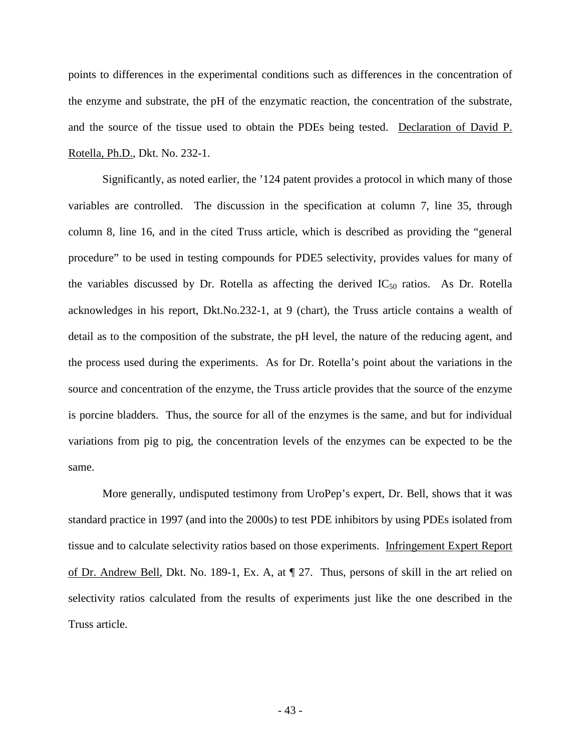points to differences in the experimental conditions such as differences in the concentration of the enzyme and substrate, the pH of the enzymatic reaction, the concentration of the substrate, and the source of the tissue used to obtain the PDEs being tested. Declaration of David P. Rotella, Ph.D., Dkt. No. 232-1.

Significantly, as noted earlier, the '124 patent provides a protocol in which many of those variables are controlled. The discussion in the specification at column 7, line 35, through column 8, line 16, and in the cited Truss article, which is described as providing the "general procedure" to be used in testing compounds for PDE5 selectivity, provides values for many of the variables discussed by Dr. Rotella as affecting the derived  $IC_{50}$  ratios. As Dr. Rotella acknowledges in his report, Dkt.No.232-1, at 9 (chart), the Truss article contains a wealth of detail as to the composition of the substrate, the pH level, the nature of the reducing agent, and the process used during the experiments. As for Dr. Rotella's point about the variations in the source and concentration of the enzyme, the Truss article provides that the source of the enzyme is porcine bladders. Thus, the source for all of the enzymes is the same, and but for individual variations from pig to pig, the concentration levels of the enzymes can be expected to be the same.

More generally, undisputed testimony from UroPep's expert, Dr. Bell, shows that it was standard practice in 1997 (and into the 2000s) to test PDE inhibitors by using PDEs isolated from tissue and to calculate selectivity ratios based on those experiments. Infringement Expert Report of Dr. Andrew Bell, Dkt. No. 189-1, Ex. A, at ¶ 27. Thus, persons of skill in the art relied on selectivity ratios calculated from the results of experiments just like the one described in the Truss article.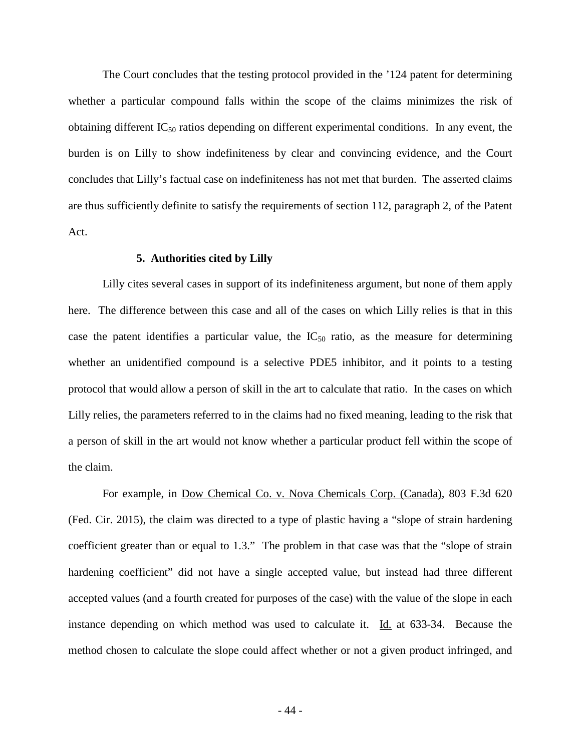The Court concludes that the testing protocol provided in the '124 patent for determining whether a particular compound falls within the scope of the claims minimizes the risk of obtaining different  $IC_{50}$  ratios depending on different experimental conditions. In any event, the burden is on Lilly to show indefiniteness by clear and convincing evidence, and the Court concludes that Lilly's factual case on indefiniteness has not met that burden. The asserted claims are thus sufficiently definite to satisfy the requirements of section 112, paragraph 2, of the Patent Act.

### **5. Authorities cited by Lilly**

Lilly cites several cases in support of its indefiniteness argument, but none of them apply here. The difference between this case and all of the cases on which Lilly relies is that in this case the patent identifies a particular value, the  $IC_{50}$  ratio, as the measure for determining whether an unidentified compound is a selective PDE5 inhibitor, and it points to a testing protocol that would allow a person of skill in the art to calculate that ratio. In the cases on which Lilly relies, the parameters referred to in the claims had no fixed meaning, leading to the risk that a person of skill in the art would not know whether a particular product fell within the scope of the claim.

For example, in Dow Chemical Co. v. Nova Chemicals Corp. (Canada), 803 F.3d 620 (Fed. Cir. 2015), the claim was directed to a type of plastic having a "slope of strain hardening coefficient greater than or equal to 1.3." The problem in that case was that the "slope of strain hardening coefficient" did not have a single accepted value, but instead had three different accepted values (and a fourth created for purposes of the case) with the value of the slope in each instance depending on which method was used to calculate it.  $\underline{Id}$  at 633-34. Because the method chosen to calculate the slope could affect whether or not a given product infringed, and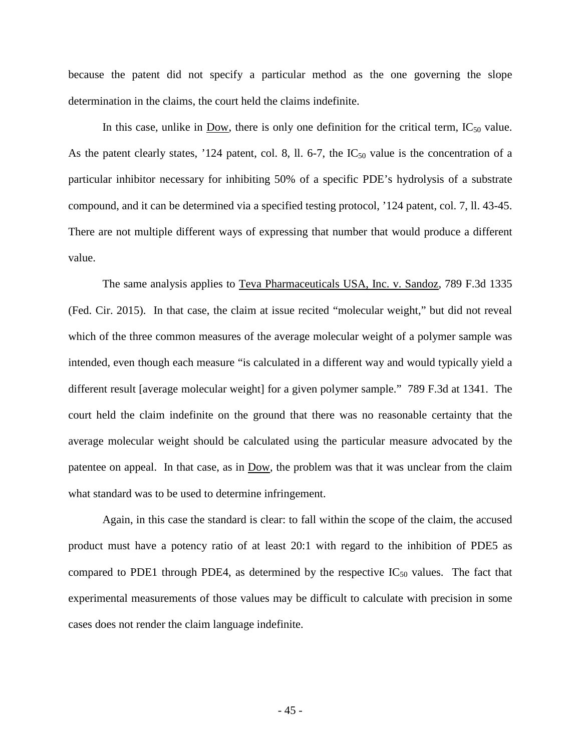because the patent did not specify a particular method as the one governing the slope determination in the claims, the court held the claims indefinite.

In this case, unlike in Dow, there is only one definition for the critical term,  $IC_{50}$  value. As the patent clearly states, '124 patent, col. 8, ll. 6-7, the  $IC_{50}$  value is the concentration of a particular inhibitor necessary for inhibiting 50% of a specific PDE's hydrolysis of a substrate compound, and it can be determined via a specified testing protocol, '124 patent, col. 7, ll. 43-45. There are not multiple different ways of expressing that number that would produce a different value.

The same analysis applies to Teva Pharmaceuticals USA, Inc. v. Sandoz, 789 F.3d 1335 (Fed. Cir. 2015). In that case, the claim at issue recited "molecular weight," but did not reveal which of the three common measures of the average molecular weight of a polymer sample was intended, even though each measure "is calculated in a different way and would typically yield a different result [average molecular weight] for a given polymer sample." 789 F.3d at 1341. The court held the claim indefinite on the ground that there was no reasonable certainty that the average molecular weight should be calculated using the particular measure advocated by the patentee on appeal. In that case, as in Dow, the problem was that it was unclear from the claim what standard was to be used to determine infringement.

Again, in this case the standard is clear: to fall within the scope of the claim, the accused product must have a potency ratio of at least 20:1 with regard to the inhibition of PDE5 as compared to PDE1 through PDE4, as determined by the respective  $IC_{50}$  values. The fact that experimental measurements of those values may be difficult to calculate with precision in some cases does not render the claim language indefinite.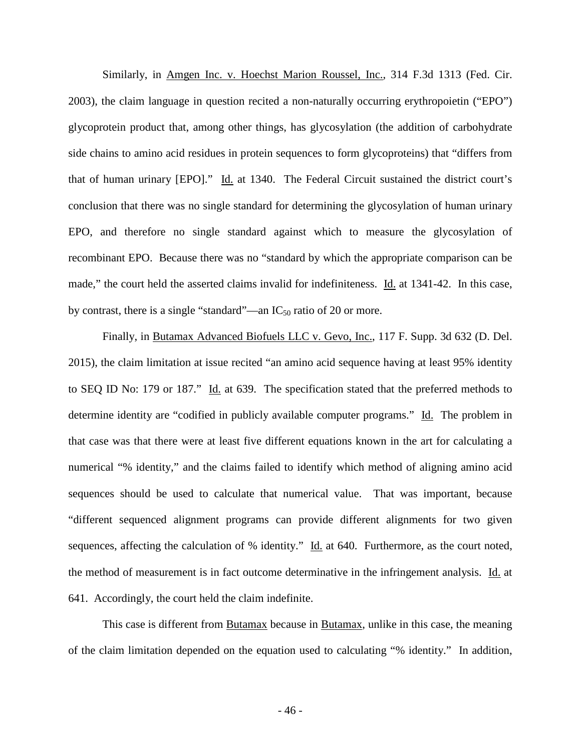Similarly, in Amgen Inc. v. Hoechst Marion Roussel, Inc., 314 F.3d 1313 (Fed. Cir. 2003), the claim language in question recited a non-naturally occurring erythropoietin ("EPO") glycoprotein product that, among other things, has glycosylation (the addition of carbohydrate side chains to amino acid residues in protein sequences to form glycoproteins) that "differs from that of human urinary [EPO]." Id. at 1340. The Federal Circuit sustained the district court's conclusion that there was no single standard for determining the glycosylation of human urinary EPO, and therefore no single standard against which to measure the glycosylation of recombinant EPO. Because there was no "standard by which the appropriate comparison can be made," the court held the asserted claims invalid for indefiniteness. Id. at 1341-42. In this case, by contrast, there is a single "standard"—an  $IC_{50}$  ratio of 20 or more.

Finally, in Butamax Advanced Biofuels LLC v. Gevo, Inc., 117 F. Supp. 3d 632 (D. Del. 2015), the claim limitation at issue recited "an amino acid sequence having at least 95% identity to SEQ ID No: 179 or 187." Id. at 639. The specification stated that the preferred methods to determine identity are "codified in publicly available computer programs." Id. The problem in that case was that there were at least five different equations known in the art for calculating a numerical "% identity," and the claims failed to identify which method of aligning amino acid sequences should be used to calculate that numerical value. That was important, because "different sequenced alignment programs can provide different alignments for two given sequences, affecting the calculation of % identity." Id. at 640. Furthermore, as the court noted, the method of measurement is in fact outcome determinative in the infringement analysis. Id. at 641. Accordingly, the court held the claim indefinite.

This case is different from Butamax because in Butamax, unlike in this case, the meaning of the claim limitation depended on the equation used to calculating "% identity." In addition,